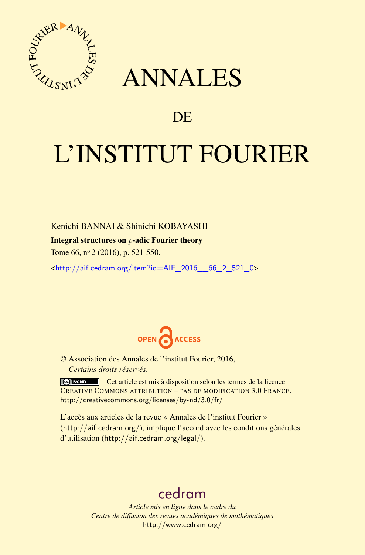

## ANNALES

### **DE**

# L'INSTITUT FOURIER

Kenichi BANNAI & Shinichi KOBAYASHI

#### Integral structures on *p*-adic Fourier theory

Tome 66, nº 2 (2016), p. 521-550.

 $\text{chttp:}/\text{/aif.cedram.org/item?id=AlF}$  2016 66 2 521 0>



© Association des Annales de l'institut Fourier, 2016, *Certains droits réservés.*

Cet article est mis à disposition selon les termes de la licence CREATIVE COMMONS ATTRIBUTION – PAS DE MODIFICATION 3.0 FRANCE. <http://creativecommons.org/licenses/by-nd/3.0/fr/>

L'accès aux articles de la revue « Annales de l'institut Fourier » (<http://aif.cedram.org/>), implique l'accord avec les conditions générales d'utilisation (<http://aif.cedram.org/legal/>).

## [cedram](http://www.cedram.org/)

*Article mis en ligne dans le cadre du Centre de diffusion des revues académiques de mathématiques* <http://www.cedram.org/>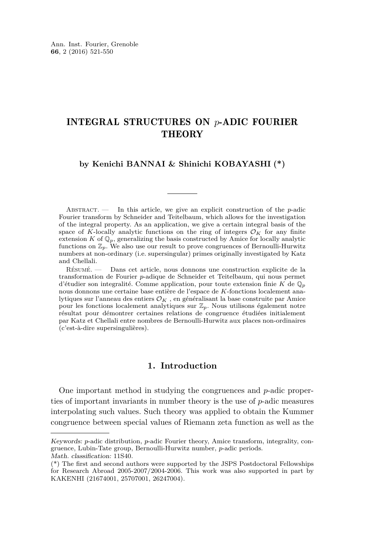#### INTEGRAL STRUCTURES ON *p*-ADIC FOURIER **THEORY**

#### **by Kenichi BANNAI & Shinichi KOBAYASHI (\*)**

ABSTRACT.  $\qquad$  In this article, we give an explicit construction of the *p*-adic Fourier transform by Schneider and Teitelbaum, which allows for the investigation of the integral property. As an application, we give a certain integral basis of the space of *K*-locally analytic functions on the ring of integers  $\mathcal{O}_K$  for any finite extension  $K$  of  $\mathbb{Q}_p$ , generalizing the basis constructed by Amice for locally analytic functions on  $\mathbb{Z}_p$ . We also use our result to prove congruences of Bernoulli-Hurwitz numbers at non-ordinary (i.e. supersingular) primes originally investigated by Katz and Chellali.

Résumé. — Dans cet article, nous donnons une construction explicite de la transformation de Fourier *p*-adique de Schneider et Teitelbaum, qui nous permet d'étudier son integralité. Comme application, pour toute extension finie *K* de Q*<sup>p</sup>* nous donnons une certaine base entière de l'espace de *K*-fonctions localement analytiques sur l'anneau des entiers O*<sup>K</sup>* , en généralisant la base construite par Amice pour les fonctions localement analytiques sur Z*p*. Nous utilisons également notre résultat pour démontrer certaines relations de congruence étudiées initialement par Katz et Chellali entre nombres de Bernoulli-Hurwitz aux places non-ordinaires (c'est-à-dire supersingulières).

#### **1. Introduction**

One important method in studying the congruences and *p*-adic properties of important invariants in number theory is the use of *p*-adic measures interpolating such values. Such theory was applied to obtain the Kummer congruence between special values of Riemann zeta function as well as the

Keywords: *p*-adic distribution, *p*-adic Fourier theory, Amice transform, integrality, congruence, Lubin-Tate group, Bernoulli-Hurwitz number, *p*-adic periods. Math. classification: 11S40.

<sup>(\*)</sup> The first and second authors were supported by the JSPS Postdoctoral Fellowships for Research Abroad 2005-2007/2004-2006. This work was also supported in part by KAKENHI (21674001, 25707001, 26247004).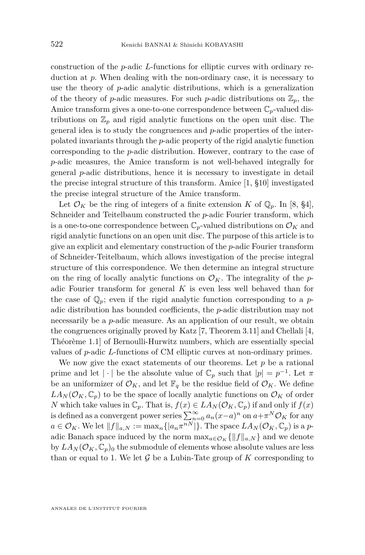construction of the *p*-adic *L*-functions for elliptic curves with ordinary reduction at *p*. When dealing with the non-ordinary case, it is necessary to use the theory of *p*-adic analytic distributions, which is a generalization of the theory of *p*-adic measures. For such *p*-adic distributions on  $\mathbb{Z}_p$ , the Amice transform gives a one-to-one correspondence between  $\mathbb{C}_p$ -valued distributions on  $\mathbb{Z}_p$  and rigid analytic functions on the open unit disc. The general idea is to study the congruences and *p*-adic properties of the interpolated invariants through the *p*-adic property of the rigid analytic function corresponding to the *p*-adic distribution. However, contrary to the case of *p*-adic measures, the Amice transform is not well-behaved integrally for general *p*-adic distributions, hence it is necessary to investigate in detail the precise integral structure of this transform. Amice [\[1,](#page-29-0) §10] investigated the precise integral structure of the Amice transform.

Let  $\mathcal{O}_K$  be the ring of integers of a finite extension *K* of  $\mathbb{Q}_p$ . In [\[8,](#page-29-1) §4], Schneider and Teitelbaum constructed the *p*-adic Fourier transform, which is a one-to-one correspondence between  $\mathbb{C}_p$ -valued distributions on  $\mathcal{O}_K$  and rigid analytic functions on an open unit disc. The purpose of this article is to give an explicit and elementary construction of the *p*-adic Fourier transform of Schneider-Teitelbaum, which allows investigation of the precise integral structure of this correspondence. We then determine an integral structure on the ring of locally analytic functions on  $\mathcal{O}_K$ . The integrality of the *p*adic Fourier transform for general *K* is even less well behaved than for the case of  $\mathbb{Q}_p$ ; even if the rigid analytic function corresponding to a *p*adic distribution has bounded coefficients, the *p*-adic distribution may not necessarily be a *p*-adic measure. As an application of our result, we obtain the congruences originally proved by Katz [\[7,](#page-29-2) Theorem 3.11] and Chellali [\[4,](#page-29-3) Théorème 1.1] of Bernoulli-Hurwitz numbers, which are essentially special values of *p*-adic *L*-functions of CM elliptic curves at non-ordinary primes.

We now give the exact statements of our theorems. Let  $p$  be a rational prime and let  $|\cdot|$  be the absolute value of  $\mathbb{C}_p$  such that  $|p| = p^{-1}$ . Let  $\pi$ be an uniformizer of  $\mathcal{O}_K$ , and let  $\mathbb{F}_q$  be the residue field of  $\mathcal{O}_K$ . We define  $LA_N(\mathcal{O}_K, \mathbb{C}_p)$  to be the space of locally analytic functions on  $\mathcal{O}_K$  of order *N* which take values in  $\mathbb{C}_p$ . That is,  $f(x) \in LA_N(\mathcal{O}_K, \mathbb{C}_p)$  if and only if  $f(x)$ is defined as a convergent power series  $\sum_{n=0}^{\infty} a_n (x-a)^n$  on  $a+\pi^N \mathcal{O}_K$  for any  $a \in \mathcal{O}_K$ . We let  $||f||_{a,N} := \max_n \{ |a_n \pi^{nN}| \}$ . The space  $LA_N(\mathcal{O}_K, \mathbb{C}_p)$  is a *p*adic Banach space induced by the norm  $\max_{a \in \mathcal{O}_K} {\{\|f\|_{a,N}\}}$  and we denote by  $LA_N(\mathcal{O}_K,\mathbb{C}_p)_0$  the submodule of elements whose absolute values are less than or equal to 1. We let  $\mathcal G$  be a Lubin-Tate group of  $K$  corresponding to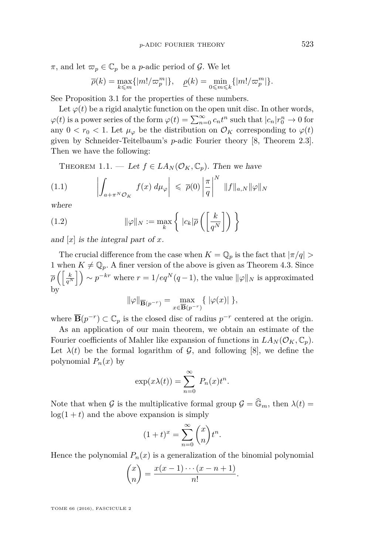$\pi$ , and let  $\pi_p \in \mathbb{C}_p$  be a *p*-adic period of  $\mathcal{G}$ . We let

$$
\overline{\rho}(k)=\max_{k\leqslant m}\{|m!/\varpi^m_p|\},\quad \underline{\rho}(k)=\min_{0\leqslant m\leqslant k}\{|m!/\varpi^m_p|\}.
$$

See Proposition [3.1](#page-8-0) for the properties of these numbers.

Let  $\varphi(t)$  be a rigid analytic function on the open unit disc. In other words,  $\varphi(t)$  is a power series of the form  $\varphi(t) = \sum_{n=0}^{\infty} c_n t^n$  such that  $|c_n|r_0^n \to 0$  for any  $0 < r_0 < 1$ . Let  $\mu_{\varphi}$  be the distribution on  $\mathcal{O}_K$  corresponding to  $\varphi(t)$ given by Schneider-Teitelbaum's *p*-adic Fourier theory [\[8,](#page-29-1) Theorem 2.3]. Then we have the following:

<span id="page-3-0"></span>THEOREM 1.1. — Let  $f \in LA_N(\mathcal{O}_K,\mathbb{C}_p)$ . Then we have

$$
(1.1) \qquad \left| \int_{a+\pi^N \mathcal{O}_K} f(x) \, d\mu_{\varphi} \right| \leqslant \overline{\rho}(0) \left| \frac{\pi}{q} \right|^N \, \|f\|_{a,N} \|\varphi\|_N
$$

where

(1.2) 
$$
\|\varphi\|_{N} := \max_{k} \left\{ |c_{k}|\overline{\rho} \left( \left[ \frac{k}{q^{N}} \right] \right) \right\}
$$

and [*x*] is the integral part of *x*.

The crucial difference from the case when  $K = \mathbb{Q}_p$  is the fact that  $|\pi/q|$ 1 when  $K \neq \mathbb{Q}_p$ . A finer version of the above is given as Theorem [4.3.](#page-18-0) Since  $\overline{\rho} \left( \left[ \frac{k}{q^N} \right] \right) \sim p^{-kr}$  where  $r = 1/eq^N(q-1)$ , the value  $\|\varphi\|_N$  is approximated by

$$
\|\varphi\|_{\overline{\mathbf{B}}(p^{-r})} = \max_{x \in \overline{\mathbf{B}}(p^{-r})} \{ \|\varphi(x)\| \},\
$$

where  $\overline{\mathbf{B}}(p^{-r}) \subset \mathbb{C}_p$  is the closed disc of radius  $p^{-r}$  centered at the origin.

As an application of our main theorem, we obtain an estimate of the Fourier coefficients of Mahler like expansion of functions in  $LA_N(\mathcal{O}_K, \mathbb{C}_p)$ . Let  $\lambda(t)$  be the formal logarithm of  $\mathcal{G}$ , and following [\[8\]](#page-29-1), we define the polynomial  $P_n(x)$  by

$$
\exp(x\lambda(t)) = \sum_{n=0}^{\infty} P_n(x)t^n.
$$

Note that when G is the multiplicative formal group  $\mathcal{G} = \widehat{\mathbb{G}}_m$ , then  $\lambda(t) =$  $log(1 + t)$  and the above expansion is simply

$$
(1+t)^{x} = \sum_{n=0}^{\infty} {x \choose n} t^{n}.
$$

Hence the polynomial  $P_n(x)$  is a generalization of the binomial polynomial

$$
\binom{x}{n} = \frac{x(x-1)\cdots(x-n+1)}{n!}.
$$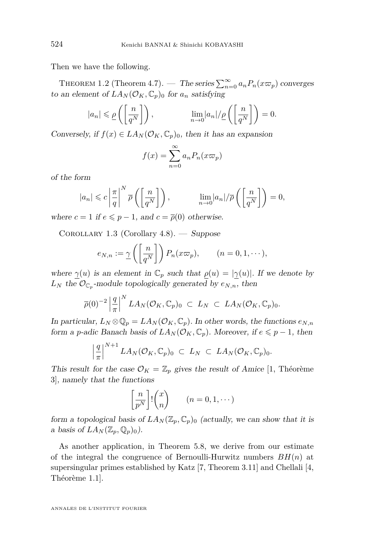Then we have the following.

THEOREM 1.2 (Theorem [4.7\)](#page-21-0). — The series  $\sum_{n=0}^{\infty} a_n P_n(x \varpi_p)$  converges to an element of  $LA_N(\mathcal{O}_K, \mathbb{C}_p)_0$  for  $a_n$  satisfying

$$
|a_n| \leq \underline{\rho}\left(\left[\frac{n}{q^N}\right]\right), \qquad \lim_{n\to 0} |a_n|/\underline{\rho}\left(\left[\frac{n}{q^N}\right]\right) = 0.
$$

Conversely, if  $f(x) \in LA_N(\mathcal{O}_K, \mathbb{C}_p)_0$ , then it has an expansion

$$
f(x) = \sum_{n=0}^{\infty} a_n P_n(x \varpi_p)
$$

of the form

$$
|a_n| \leqslant c \left| \frac{\pi}{q} \right|^N \overline{\rho}\left( \left[ \frac{n}{q^N} \right] \right), \qquad \lim_{n \to 0} |a_n| / \overline{\rho}\left( \left[ \frac{n}{q^N} \right] \right) = 0,
$$

where  $c = 1$  if  $e \leq p - 1$ , and  $c = \overline{p}(0)$  otherwise.

COROLLARY 1.3 (Corollary [4.8\)](#page-23-0). — Suppose

$$
e_{N,n} := \underline{\gamma}\left(\left[\frac{n}{q^N}\right]\right) P_n(x\varpi_p), \qquad (n = 0, 1, \dots),
$$

where  $\gamma(u)$  is an element in  $\mathbb{C}_p$  such that  $\rho(u) = |\gamma(u)|$ . If we denote by  $L_N$  the  $\mathcal{O}_{\mathbb{C}_p}$ -module topologically generated by  $e_{N,n}$ , then

$$
\overline{\rho}(0)^{-2}\left|\frac{q}{\pi}\right|^N LA_N(\mathcal{O}_K,\mathbb{C}_p)_0 \ \subset \ L_N \ \subset \ LA_N(\mathcal{O}_K,\mathbb{C}_p)_0.
$$

In particular,  $L_N \otimes \mathbb{Q}_p = L A_N(\mathcal{O}_K, \mathbb{C}_p)$ . In other words, the functions  $e_{N,n}$ form a *p*-adic Banach basis of  $LA_N(\mathcal{O}_K, \mathbb{C}_p)$ . Moreover, if  $e \leq p-1$ , then

$$
\left|\frac{q}{\pi}\right|^{N+1}LA_N(\mathcal{O}_K,\mathbb{C}_p)_0 \ \subset \ L_N \ \subset \ LA_N(\mathcal{O}_K,\mathbb{C}_p)_0.
$$

This result for the case  $\mathcal{O}_K = \mathbb{Z}_p$  gives the result of Amice [\[1,](#page-29-0) Théorème 3], namely that the functions

$$
\left[\frac{n}{p^N}\right]!\binom{x}{n} \qquad (n=0,1,\cdots)
$$

form a topological basis of  $LA_N(\mathbb{Z}_p, \mathbb{C}_p)$  (actually, we can show that it is a basis of  $LA_N(\mathbb{Z}_p, \mathbb{Q}_p)_0$ .

As another application, in Theorem [5.8,](#page-29-4) we derive from our estimate of the integral the congruence of Bernoulli-Hurwitz numbers *BH*(*n*) at supersingular primes established by Katz [\[7,](#page-29-2) Theorem 3.11] and Chellali [\[4,](#page-29-3) Théorème 1.1].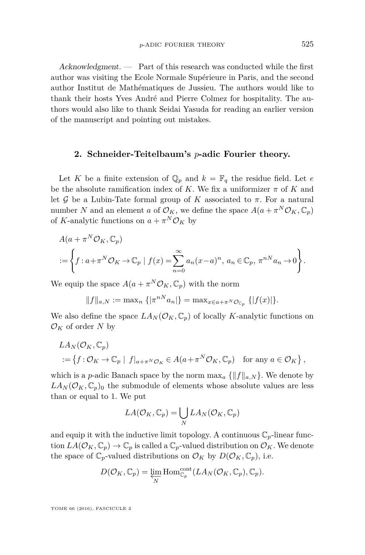Acknowledgment. — Part of this research was conducted while the first author was visiting the Ecole Normale Supérieure in Paris, and the second author Institut de Mathématiques de Jussieu. The authors would like to thank their hosts Yves André and Pierre Colmez for hospitality. The authors would also like to thank Seidai Yasuda for reading an earlier version of the manuscript and pointing out mistakes.

#### **2. Schneider-Teitelbaum's** *p***-adic Fourier theory.**

Let *K* be a finite extension of  $\mathbb{Q}_p$  and  $k = \mathbb{F}_q$  the residue field. Let *e* be the absolute ramification index of *K*. We fix a uniformizer  $\pi$  of *K* and let  $G$  be a Lubin-Tate formal group of  $K$  associated to  $\pi$ . For a natural number *N* and an element *a* of  $\mathcal{O}_K$ , we define the space  $A(a + \pi^N \mathcal{O}_K, \mathbb{C}_p)$ of *K*-analytic functions on  $a + \pi^N \mathcal{O}_K$  by

$$
A(a + \pi^N \mathcal{O}_K, \mathbb{C}_p)
$$
  
 :=  $\left\{ f : a + \pi^N \mathcal{O}_K \to \mathbb{C}_p \mid f(x) = \sum_{n=0}^{\infty} a_n (x - a)^n, a_n \in \mathbb{C}_p, \pi^{nN} a_n \to 0 \right\}.$ 

We equip the space  $A(a + \pi^N \mathcal{O}_K, \mathbb{C}_p)$  with the norm

$$
||f||_{a,N} := \max_{n} \{ |\pi^{nN} a_n| \} = \max_{x \in a + \pi^N \mathcal{O}_{\mathbb{C}_p} } \{ |f(x)| \}.
$$

We also define the space  $LA_N(\mathcal{O}_K, \mathbb{C}_p)$  of locally *K*-analytic functions on  $\mathcal{O}_K$  of order *N* by

$$
LA_N(\mathcal{O}_K, \mathbb{C}_p)
$$
  
 := { $f: \mathcal{O}_K \to \mathbb{C}_p | f|_{a+\pi^N \mathcal{O}_K} \in A(a+\pi^N \mathcal{O}_K, \mathbb{C}_p)$  for any  $a \in \mathcal{O}_K$  },

which is a *p*-adic Banach space by the norm  $\max_a \{||f||_{a,N}\}.$  We denote by  $LA_N(\mathcal{O}_K, \mathbb{C}_p)$  the submodule of elements whose absolute values are less than or equal to 1. We put

$$
LA(\mathcal{O}_K, \mathbb{C}_p) = \bigcup_N LA_N(\mathcal{O}_K, \mathbb{C}_p)
$$

and equip it with the inductive limit topology. A continuous  $\mathbb{C}_p$ -linear function  $LA(\mathcal{O}_K, \mathbb{C}_p) \to \mathbb{C}_p$  is called a  $\mathbb{C}_p$ -valued distribution on  $\mathcal{O}_K$ . We denote the space of  $\mathbb{C}_p$ -valued distributions on  $\mathcal{O}_K$  by  $D(\mathcal{O}_K, \mathbb{C}_p)$ , i.e.

$$
D(\mathcal{O}_K, \mathbb{C}_p) = \varprojlim_N \mathrm{Hom}^{\mathrm{cont}}_{\mathbb{C}_p}(LA_N(\mathcal{O}_K, \mathbb{C}_p), \mathbb{C}_p).
$$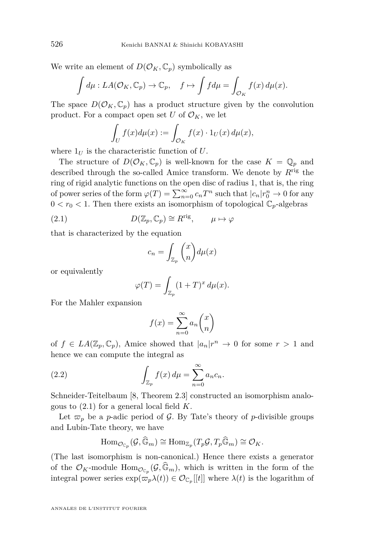We write an element of  $D(\mathcal{O}_K, \mathbb{C}_p)$  symbolically as

$$
\int d\mu : LA(\mathcal{O}_K, \mathbb{C}_p) \to \mathbb{C}_p, \quad f \mapsto \int f d\mu = \int_{\mathcal{O}_K} f(x) d\mu(x).
$$

The space  $D(\mathcal{O}_K, \mathbb{C}_p)$  has a product structure given by the convolution product. For a compact open set *U* of  $\mathcal{O}_K$ , we let

$$
\int_U f(x)d\mu(x) := \int_{\mathcal{O}_K} f(x) \cdot 1_U(x) d\mu(x),
$$

where  $1_U$  is the characteristic function of  $U$ .

The structure of  $D(\mathcal{O}_K, \mathbb{C}_p)$  is well-known for the case  $K = \mathbb{Q}_p$  and described through the so-called Amice transform. We denote by *R*rig the ring of rigid analytic functions on the open disc of radius 1, that is, the ring of power series of the form  $\varphi(T) = \sum_{n=0}^{\infty} c_n T^n$  such that  $|c_n|r_0^n \to 0$  for any  $0 < r_0 < 1$ . Then there exists an isomorphism of topological  $\mathbb{C}_p$ -algebras

(2.1) 
$$
D(\mathbb{Z}_p, \mathbb{C}_p) \cong R^{\text{rig}}, \qquad \mu \mapsto \varphi
$$

that is characterized by the equation

<span id="page-6-0"></span>
$$
c_n = \int_{\mathbb{Z}_p} \binom{x}{n} d\mu(x)
$$

or equivalently

$$
\varphi(T) = \int_{\mathbb{Z}_p} (1+T)^x \, d\mu(x).
$$

For the Mahler expansion

<span id="page-6-1"></span>
$$
f(x) = \sum_{n=0}^{\infty} a_n \binom{x}{n}
$$

of  $f \in LA(\mathbb{Z}_p, \mathbb{C}_p)$ , Amice showed that  $|a_n|r^n \to 0$  for some  $r > 1$  and hence we can compute the integral as

(2.2) 
$$
\int_{\mathbb{Z}_p} f(x) d\mu = \sum_{n=0}^{\infty} a_n c_n.
$$

Schneider-Teitelbaum [\[8,](#page-29-1) Theorem 2.3] constructed an isomorphism analogous to [\(2.1\)](#page-6-0) for a general local field *K*.

Let  $\varpi_p$  be a *p*-adic period of G. By Tate's theory of *p*-divisible groups and Lubin-Tate theory, we have

$$
\mathrm{Hom}_{\mathcal{O}_{\mathbb{C}_p}}(\mathcal{G},\widehat{\mathbb{G}}_m)\cong \mathrm{Hom}_{\mathbb{Z}_p}(T_p\mathcal{G},T_p\widehat{\mathbb{G}}_m)\cong \mathcal{O}_K.
$$

(The last isomorphism is non-canonical.) Hence there exists a generator of the  $\mathcal{O}_K$ -module  $\text{Hom}_{\mathcal{O}_{\mathbb{C}_p}}(\mathcal{G}, \widehat{\mathbb{G}}_m)$ , which is written in the form of the integral power series  $\exp(\varpi_p \lambda(t)) \in \mathcal{O}_{\mathbb{C}_p}[[t]]$  where  $\lambda(t)$  is the logarithm of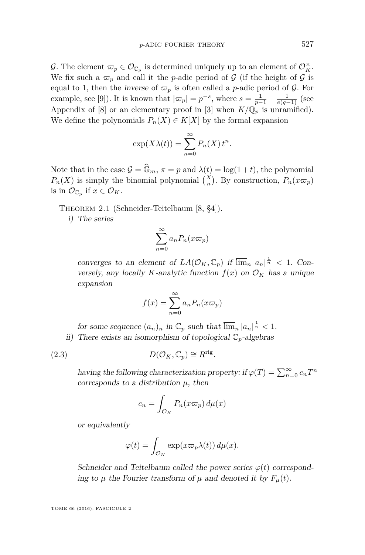G. The element  $\varpi_p \in \mathcal{O}_{\mathbb{C}_p}$  is determined uniquely up to an element of  $\mathcal{O}_K^{\times}$ . We fix such a  $\varpi_p$  and call it the *p*-adic period of G (if the height of G is equal to 1, then the inverse of  $\varpi_p$  is often called a *p*-adic period of  $\mathcal{G}$ . For example, see [\[9\]](#page-29-5)). It is known that  $|\varpi_p| = p^{-s}$ , where  $s = \frac{1}{p-1} - \frac{1}{e(q-1)}$  (see Appendix of [\[8\]](#page-29-1) or an elementary proof in [\[3\]](#page-29-6) when  $K/\mathbb{Q}_p$  is unramified). We define the polynomials  $P_n(X) \in K[X]$  by the formal expansion

$$
\exp(X\lambda(t)) = \sum_{n=0}^{\infty} P_n(X) t^n.
$$

Note that in the case  $\mathcal{G} = \widehat{\mathbb{G}}_m$ ,  $\pi = p$  and  $\lambda(t) = \log(1+t)$ , the polynomial  $P_n(X)$  is simply the binomial polynomial  $\binom{X}{n}$ . By construction,  $P_n(x\varpi_p)$ is in  $\mathcal{O}_{\mathbb{C}_p}$  if  $x \in \mathcal{O}_K$ .

Theorem 2.1 (Schneider-Teitelbaum [\[8,](#page-29-1) §4]).

i) The series

$$
\sum_{n=0}^{\infty} a_n P_n(x \varpi_p)
$$

converges to an element of  $LA(\mathcal{O}_K, \mathbb{C}_p)$  if  $\overline{\lim}_n |a_n|^{\frac{1}{n}} < 1$ . Conversely, any locally *K*-analytic function  $f(x)$  on  $\mathcal{O}_K$  has a unique expansion

$$
f(x) = \sum_{n=0}^{\infty} a_n P_n(x \varpi_p)
$$

for some sequence  $(a_n)_n$  in  $\mathbb{C}_p$  such that  $\overline{\lim}_n |a_n|^{\frac{1}{n}} < 1$ . ii) There exists an isomorphism of topological  $\mathbb{C}_p$ -algebras

(2.3) 
$$
D(\mathcal{O}_K, \mathbb{C}_p) \cong R^{\text{rig}}.
$$

having the following characterization property: if  $\varphi(T) = \sum_{n=0}^{\infty} c_n T^n$ corresponds to a distribution  $\mu$ , then

<span id="page-7-0"></span>
$$
c_n = \int_{\mathcal{O}_K} P_n(x \varpi_p) \, d\mu(x)
$$

or equivalently

$$
\varphi(t) = \int_{\mathcal{O}_K} \exp(x \varpi_p \lambda(t)) \, d\mu(x).
$$

Schneider and Teitelbaum called the power series  $\varphi(t)$  corresponding to  $\mu$  the Fourier transform of  $\mu$  and denoted it by  $F_{\mu}(t)$ .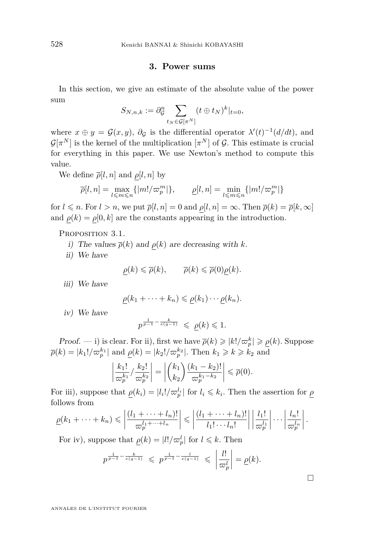#### **3. Power sums**

In this section, we give an estimate of the absolute value of the power sum

$$
S_{N,n,k} := \partial_{\mathcal{G}}^n \sum_{t_N \in \mathcal{G}[\pi^N]} (t \oplus t_N)^k |_{t=0},
$$

where  $x \oplus y = \mathcal{G}(x, y)$ ,  $\partial_{\mathcal{G}}$  is the differential operator  $\lambda'(t)^{-1}(d/dt)$ , and  $\mathcal{G}[\pi^N]$  is the kernel of the multiplication  $[\pi^N]$  of  $\mathcal{G}$ . This estimate is crucial for everything in this paper. We use Newton's method to compute this value.

We define  $\overline{\rho}[l,n]$  and  $\rho[l,n]$  by

$$
\overline{\rho}[l,n]=\max_{l\leqslant m\leqslant n}\{|m!/\varpi^m_p|\},\qquad \underline{\rho}[l,n]=\min_{l\leqslant m\leqslant n}\{|m!/\varpi^m_p|\}
$$

for  $l \le n$ . For  $l > n$ , we put  $\overline{\rho}[l,n] = 0$  and  $\rho[l,n] = \infty$ . Then  $\overline{\rho}(k) = \overline{\rho}[k,\infty]$ and  $\rho(k) = \rho[0, k]$  are the constants appearing in the introduction.

<span id="page-8-0"></span>PROPOSITION 3.1.

i) The values  $\overline{\rho}(k)$  and  $\rho(k)$  are decreasing with *k*.

ii) We have

$$
\rho(k) \leq \overline{\rho}(k), \qquad \overline{\rho}(k) \leq \overline{\rho}(0)\rho(k).
$$

iii) We have

$$
\underline{\rho}(k_1 + \cdots + k_n) \leq \underline{\rho}(k_1) \cdots \underline{\rho}(k_n).
$$

iv) We have

$$
p^{\frac{1}{p-1}-\frac{k}{e(q-1)}}\ \leqslant\ \underline{\rho}(k)\leqslant 1.
$$

*Proof.* — i) is clear. For ii), first we have  $\bar{\rho}(k) \geqslant |k|/\bar{\omega}_p^k| \geqslant \underline{\rho}(k)$ . Suppose  $\overline{\rho}(k) = |k_1| / \varpi_p^{k_1}|$  and  $\underline{\rho}(k) = |k_2| / \varpi_p^{k_2}|$ . Then  $k_1 \geq k \geq k_2$  and

$$
\left|\frac{k_1!}{\varpi_p^{k_1}}/\frac{k_2!}{\varpi_p^{k_2}}\right| = \left|\binom{k_1}{k_2}\frac{(k_1-k_2)!}{\varpi_p^{k_1-k_2}}\right| \leqslant \overline{\rho}(0).
$$

For iii), suppose that  $\rho(k_i) = |l_i| / \varpi_p^{l_i}$  for  $l_i \leq k_i$ . Then the assertion for  $\rho$ follows from

$$
\underline{\rho}(k_1 + \dots + k_n) \leqslant \left| \frac{(l_1 + \dots + l_n)!}{\varpi_p^{l_1 + \dots + l_n}} \right| \leqslant \left| \frac{(l_1 + \dots + l_n)!}{l_1! \dots l_n!} \right| \left| \frac{l_1!}{\varpi_p^{l_1}} \right| \dots \left| \frac{l_n!}{\varpi_p^{l_n}} \right|.
$$

For iv), suppose that  $\rho(k) = |l| / \varpi_p^l$  for  $l \leq k$ . Then

$$
p^{\frac{1}{p-1}-\frac{k}{e(q-1)}} \leqslant p^{\frac{1}{p-1}-\frac{l}{e(q-1)}} \leqslant \left|\frac{l!}{\varpi_p^l}\right| = \underline{\rho}(k).
$$

 $\Box$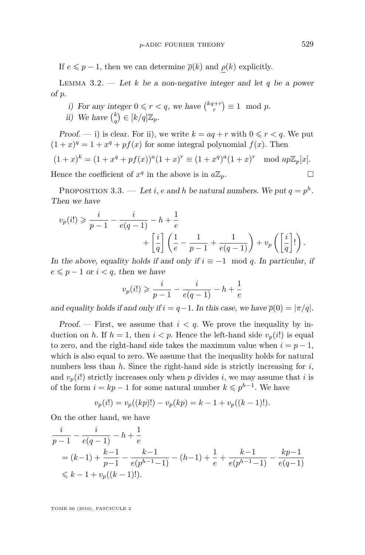If  $e \leq p-1$ , then we can determine  $\overline{\rho}(k)$  and  $\rho(k)$  explicitly.

<span id="page-9-0"></span>LEMMA 3.2.  $\qquad$  Let *k* be a non-negative integer and let *q* be a power of *p*.

- i) For any integer  $0 \leq r < q$ , we have  $\binom{kq+r}{r} \equiv 1 \mod p$ .
- ii) We have  $\binom{k}{q} \in [k/q]\mathbb{Z}_p$ .

Proof. — i) is clear. For ii), we write  $k = aq + r$  with  $0 \le r < q$ . We put  $(1+x)^q = 1 + x^q + pf(x)$  for some integral polynomial  $f(x)$ . Then

$$
(1+x)^k = (1+x^q + pf(x))^a (1+x)^r \equiv (1+x^q)^a (1+x)^r \mod ap\mathbb{Z}_p[x].
$$

Hence the coefficient of  $x^q$  in the above is in  $a\mathbb{Z}_p$ .

<span id="page-9-1"></span>PROPOSITION 3.3. — Let *i*, *e* and *h* be natural numbers. We put  $q = p^h$ . Then we have

$$
v_p(i!) \geq \frac{i}{p-1} - \frac{i}{e(q-1)} - h + \frac{1}{e}
$$
  
+ 
$$
\left[\frac{i}{q}\right] \left(\frac{1}{e} - \frac{1}{p-1} + \frac{1}{e(q-1)}\right) + v_p\left(\left[\frac{i}{q}\right]!\right).
$$

In the above, equality holds if and only if  $i \equiv -1 \mod q$ . In particular, if  $e \leq p-1$  or  $i < q$ , then we have

$$
v_p(i!) \geqslant \frac{i}{p-1} - \frac{i}{e(q-1)} - h + \frac{1}{e}
$$

and equality holds if and only if  $i = q-1$ . In this case, we have  $\overline{\rho}(0) = |\pi/q|$ .

Proof. — First, we assume that  $i < q$ . We prove the inequality by induction on *h*. If  $h = 1$ , then  $i < p$ . Hence the left-hand side  $v_p(i!)$  is equal to zero, and the right-hand side takes the maximum value when  $i = p - 1$ , which is also equal to zero. We assume that the inequality holds for natural numbers less than *h*. Since the right-hand side is strictly increasing for *i*, and  $v_p(i!)$  strictly increases only when p divides *i*, we may assume that *i* is of the form  $i = kp - 1$  for some natural number  $k \leqslant p^{h-1}$ . We have

$$
v_p(i!) = v_p((kp)!) - v_p(kp) = k - 1 + v_p((k-1)!).
$$

On the other hand, we have

$$
\begin{aligned}\n\frac{i}{p-1} - \frac{i}{e(q-1)} - h + \frac{1}{e} \\
&= (k-1) + \frac{k-1}{p-1} - \frac{k-1}{e(p^{h-1}-1)} - (h-1) + \frac{1}{e} + \frac{k-1}{e(p^{h-1}-1)} - \frac{kp-1}{e(q-1)} \\
&\le k - 1 + v_p((k-1)!).\n\end{aligned}
$$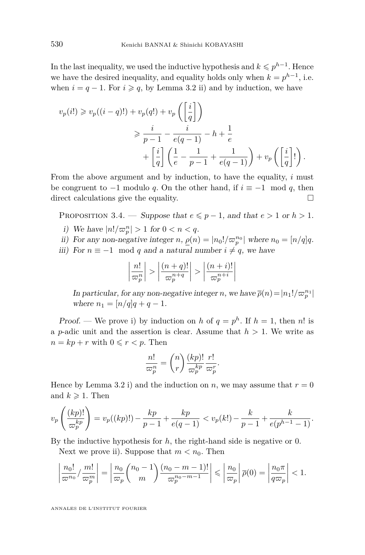In the last inequality, we used the inductive hypothesis and  $k \leqslant p^{h-1}$ . Hence we have the desired inequality, and equality holds only when  $k = p^{h-1}$ , i.e. when  $i = q - 1$ . For  $i \geq q$ , by Lemma [3.2](#page-9-0) ii) and by induction, we have

$$
v_p(i!) \ge v_p((i-q)!) + v_p(q!) + v_p\left(\left[\frac{i}{q}\right]\right)
$$
  

$$
\ge \frac{i}{p-1} - \frac{i}{e(q-1)} - h + \frac{1}{e}
$$
  

$$
+ \left[\frac{i}{q}\right] \left(\frac{1}{e} - \frac{1}{p-1} + \frac{1}{e(q-1)}\right) + v_p\left(\left[\frac{i}{q}\right]!\right).
$$

From the above argument and by induction, to have the equality, *i* must be congruent to  $-1$  modulo *q*. On the other hand, if  $i \equiv -1 \mod q$ , then direct calculations give the equality.  $\Box$ 

PROPOSITION 3.4. — Suppose that  $e \leq p-1$ , and that  $e > 1$  or  $h > 1$ .

- *i*) We have  $|n!/_{\mathcal{D}_p^n}| > 1$  for  $0 < n < q$ .
- ii) For any non-negative integer *n*,  $\rho(n) = |n_0| / \varpi_p^{n_0}|$  where  $n_0 = [n/q]q$ .
- iii) For  $n \equiv -1 \mod q$  and a natural number  $i \neq q$ , we have

$$
\left|\frac{n!}{\varpi_p^n}\right| > \left|\frac{(n+q)!}{\varpi_p^{n+q}}\right| > \left|\frac{(n+i)!}{\varpi_p^{n+i}}\right|
$$

In particular, for any non-negative integer *n*, we have  $\overline{\rho}(n) = |n_1!/\varpi_p^{n_1}|$ where  $n_1 = [n/q]q + q - 1$ .

Proof. — We prove i) by induction on *h* of  $q = p^h$ . If  $h = 1$ , then *n*! is a *p*-adic unit and the assertion is clear. Assume that  $h > 1$ . We write as  $n = kp + r$  with  $0 \leq r < p$ . Then

$$
\frac{n!}{\varpi_p^n} = \binom{n}{r} \frac{(kp)!}{\varpi_p^{kp}} \frac{r!}{\varpi_p^r}.
$$

Hence by Lemma [3.2](#page-9-0) i) and the induction on *n*, we may assume that  $r = 0$ and  $k \geqslant 1$ . Then

$$
v_p\left(\frac{(kp)!}{\varpi_p^{kp}}\right) = v_p((kp)!) - \frac{kp}{p-1} + \frac{kp}{e(q-1)} < v_p(k!) - \frac{k}{p-1} + \frac{k}{e(p^{h-1}-1)}.
$$

By the inductive hypothesis for *h*, the right-hand side is negative or 0.

Next we prove ii). Suppose that  $m < n_0$ . Then

$$
\left|\frac{n_0!}{\varpi^{n_0}}/\frac{m!}{\varpi_p^m}\right| = \left|\frac{n_0}{\varpi_p}\binom{n_0-1}{m}\frac{(n_0-m-1)!}{\varpi_p^{n_0-m-1}}\right| \leqslant \left|\frac{n_0}{\varpi_p}\right|\overline{\rho}(0) = \left|\frac{n_0\pi}{q\varpi_p}\right| < 1.
$$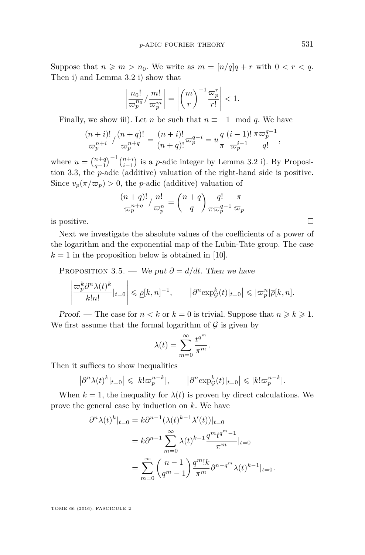Suppose that  $n \geq m > n_0$ . We write as  $m = \lfloor n/q \rfloor q + r$  with  $0 < r < q$ . Then i) and Lemma [3.2](#page-9-0) i) show that

$$
\left|\frac{n_0!}{\varpi_p^{n_0}}/\frac{m!}{\varpi_p^m}\right| = \left|\binom{m}{r}^{-1}\frac{\varpi_p^r}{r!}\right| < 1.
$$

Finally, we show iii). Let *n* be such that  $n \equiv -1 \mod q$ . We have

$$
\frac{(n+i)!}{\varpi_p^{n+i}} / \frac{(n+q)!}{\varpi_p^{n+q}} = \frac{(n+i)!}{(n+q)!} \varpi_p^{q-i} = u \frac{q}{\pi} \frac{(i-1)!}{\varpi_p^{i-1}} \frac{\pi \varpi_p^{q-1}}{q!},
$$

where  $u = \binom{n+q}{q-1}^{-1} \binom{n+i}{i-1}$  is a *p*-adic integer by Lemma [3.2](#page-9-0) i). By Proposition [3.3,](#page-9-1) the *p*-adic (additive) valuation of the right-hand side is positive. Since  $v_p(\pi/\varpi_p) > 0$ , the *p*-adic (additive) valuation of

$$
\frac{(n+q)!}{\varpi_p^{n+q}} / \frac{n!}{\varpi_p^n} = \binom{n+q}{q} \frac{q!}{\pi \varpi_p^{q-1}} \frac{\pi}{\varpi_p}
$$
 is positive.

Next we investigate the absolute values of the coefficients of a power of the logarithm and the exponential map of the Lubin-Tate group. The case  $k = 1$  in the proposition below is obtained in [\[10\]](#page-29-7).

<span id="page-11-0"></span>PROPOSITION 3.5. — We put  $\partial = d/dt$ . Then we have

$$
\left|\frac{\varpi_p^k\partial^n\lambda(t)^k}{k!n!}|_{t=0}\right|\leqslant \underline{\rho}[k,n]^{-1},\qquad \left|\partial^n\exp^k_{\mathcal{G}}(t)|_{t=0}\right|\leqslant |\varpi^n_p|\overline{\rho}[k,n].
$$

Proof. — The case for  $n < k$  or  $k = 0$  is trivial. Suppose that  $n \geq k \geq 1$ . We first assume that the formal logarithm of  $\mathcal G$  is given by

$$
\lambda(t) = \sum_{m=0}^{\infty} \frac{t^{q^m}}{\pi^m}.
$$

Then it suffices to show inequalities

$$
\left|\partial^n \lambda(t)^k|_{t=0}\right| \leqslant |k!\varpi_p^{n-k}|, \qquad \left|\partial^n \exp^k_{\mathcal{G}}(t)|_{t=0}\right| \leqslant |k!\varpi_p^{n-k}|.
$$

When  $k = 1$ , the inequality for  $\lambda(t)$  is proven by direct calculations. We prove the general case by induction on *k*. We have

$$
\partial^{n} \lambda(t)^{k} |_{t=0} = k \partial^{n-1} (\lambda(t)^{k-1} \lambda'(t)) |_{t=0}
$$
  
=  $k \partial^{n-1} \sum_{m=0}^{\infty} \lambda(t)^{k-1} \frac{q^{m} t^{q^{m}-1}}{\pi^{m}} |_{t=0}$   
=  $\sum_{m=0}^{\infty} {n-1 \choose q^{m}-1} \frac{q^{m}! k}{\pi^{m}} \partial^{n-q^{m}} \lambda(t)^{k-1} |_{t=0}.$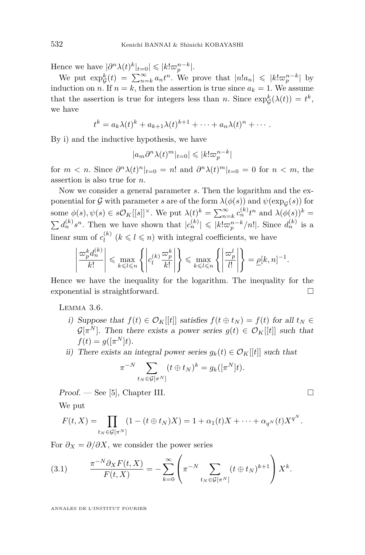Hence we have  $|\partial^n \lambda(t)^k|_{t=0}| \leqslant |k! \varpi_p^{n-k}|$ .

We put  $\exp_{\mathcal{G}}^k(t) = \sum_{n=k}^{\infty} a_n t^n$ . We prove that  $|n!a_n| \leq k! \varpi_p^{n-k}|$  by induction on *n*. If  $n = k$ , then the assertion is true since  $a_k = 1$ . We assume that the assertion is true for integers less than *n*. Since  $\exp_{\mathcal{G}}^k(\lambda(t)) = t^k$ , we have

$$
t^k = a_k \lambda(t)^k + a_{k+1} \lambda(t)^{k+1} + \cdots + a_n \lambda(t)^n + \cdots
$$

By i) and the inductive hypothesis, we have

$$
|a_m \partial^n \lambda(t)^m|_{t=0}| \leqslant |k! \varpi_p^{n-k}|
$$

for  $m < n$ . Since  $\partial^n \lambda(t)^n|_{t=0} = n!$  and  $\partial^n \lambda(t)^m|_{t=0} = 0$  for  $n < m$ , the assertion is also true for *n*.

Now we consider a general parameter *s*. Then the logarithm and the exponential for  $G$  with parameter *s* are of the form  $\lambda(\phi(s))$  and  $\psi(\exp_G(s))$  for some  $\phi(s), \psi(s) \in s\mathcal{O}_K[[s]]^{\times}$ . We put  $\lambda(t)^k = \sum_{n=k}^{\infty} c_n^{(k)} t^n$  and  $\lambda(\phi(s))^k =$  $\sum d_n^{(k)} s^n$ . Then we have shown that  $|c_n^{(k)}| \leqslant |k! \varpi_p^{n-k}/n!|$ . Since  $d_n^{(k)}$  is a linear sum of  $c_l^{(k)}$  $l_l^{(k)}$  ( $k \leq l \leq n$ ) with integral coefficients, we have

$$
\left|\frac{\varpi_p^k d_n^{(k)}}{k!}\right| \leq \max_{k\leq l\leq n} \left\{\left|c_l^{(k)}\frac{\varpi_p^k}{k!}\right|\right\} \leq \max_{k\leq l\leq n} \left\{\left|\frac{\varpi_p^l}{l!}\right|\right\} = \underline{\rho}[k,n]^{-1}.
$$

Hence we have the inequality for the logarithm. The inequality for the exponential is straightforward.

<span id="page-12-0"></span>Lemma 3.6.

- i) Suppose that  $f(t) \in \mathcal{O}_K[[t]]$  satisfies  $f(t \oplus t_N) = f(t)$  for all  $t_N \in$  $\mathcal{G}[\pi^N]$ . Then there exists a power series  $g(t) \in \mathcal{O}_K[[t]]$  such that  $f(t) = g([\pi^N]t).$
- ii) There exists an integral power series  $g_k(t) \in \mathcal{O}_K[[t]]$  such that

$$
\pi^{-N} \sum_{t_N \in \mathcal{G}[\pi^N]} (t \oplus t_N)^k = g_k([\pi^N]t).
$$

 $Proof.$  — See [\[5\]](#page-29-8), Chapter III.  $\Box$ 

We put

$$
F(t, X) = \prod_{t_N \in \mathcal{G}[\pi^N]} (1 - (t \oplus t_N)X) = 1 + \alpha_1(t)X + \dots + \alpha_{q^N}(t)X^{q^N}.
$$

For  $\partial_X = \partial/\partial X$ , we consider the power series

(3.1) 
$$
\frac{\pi^{-N} \partial_X F(t, X)}{F(t, X)} = - \sum_{k=0}^{\infty} \left( \pi^{-N} \sum_{t_N \in \mathcal{G}[\pi^N]} (t \oplus t_N)^{k+1} \right) X^k.
$$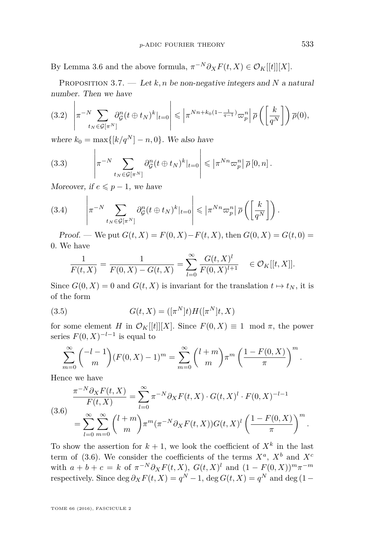By Lemma [3.6](#page-12-0) and the above formula,  $\pi^{-N} \partial_X F(t, X) \in \mathcal{O}_K[[t]][X].$ 

<span id="page-13-5"></span>PROPOSITION 3.7.  $\qquad$  Let *k*, *n* be non-negative integers and *N* a natural number. Then we have

<span id="page-13-3"></span>
$$
(3.2) \left| \pi^{-N} \sum_{t_N \in \mathcal{G}[\pi^N]} \partial_{\mathcal{G}}^n (t \oplus t_N)^k |_{t=0} \right| \leqslant \left| \pi^{Nn + k_0(1 - \frac{1}{q-1})} \varpi_p^n \right| \overline{\rho} \left( \left[ \frac{k}{q^N} \right] \right) \overline{\rho}(0),
$$

where  $k_0 = \max\{[k/q^N] - n, 0\}$ . We also have

<span id="page-13-2"></span>(3.3) 
$$
\left|\pi^{-N}\sum_{t_N\in\mathcal{G}[\pi^N]}\partial_{\mathcal{G}}^n(t\oplus t_N)^k|_{t=0}\right|\leqslant \left|\pi^{Nn}\varpi_p^n\right|\overline{\rho}\left[0,n\right].
$$

Moreover, if  $e \leq p-1$ , we have

<span id="page-13-4"></span>(3.4) 
$$
\left|\pi^{-N}\sum_{t_N\in\mathcal{G}[\pi^N]}\partial_{\mathcal{G}}^n(t\oplus t_N)^k|_{t=0}\right|\leqslant \left|\pi^{Nn}\varpi_p^n\right|\overline{\rho}\left(\left[\frac{k}{q^N}\right]\right).
$$

*Proof.* — We put  $G(t, X) = F(0, X) - F(t, X)$ , then  $G(0, X) = G(t, 0) =$ 0. We have

<span id="page-13-1"></span>
$$
\frac{1}{F(t,X)} = \frac{1}{F(0,X) - G(t,X)} = \sum_{l=0}^{\infty} \frac{G(t,X)^l}{F(0,X)^{l+1}} \in \mathcal{O}_K[[t,X]].
$$

Since  $G(0, X) = 0$  and  $G(t, X)$  is invariant for the translation  $t \mapsto t_N$ , it is of the form

(3.5) 
$$
G(t, X) = ([\pi^N]t)H([\pi^N]t, X)
$$

for some element *H* in  $\mathcal{O}_K[[t]][X]$ . Since  $F(0, X) \equiv 1 \mod \pi$ , the power series  $F(0, X)^{-l-1}$  is equal to

$$
\sum_{m=0}^{\infty} {\binom{-l-1}{m}} (F(0,X) - 1)^m = \sum_{m=0}^{\infty} {\binom{l+m}{m}} \pi^m \left(\frac{1 - F(0,X)}{\pi}\right)^m.
$$

Hence we have

<span id="page-13-0"></span>
$$
\frac{\pi^{-N}\partial_X F(t,X)}{F(t,X)} = \sum_{l=0}^{\infty} \pi^{-N}\partial_X F(t,X) \cdot G(t,X)^l \cdot F(0,X)^{-l-1}
$$
\n
$$
= \sum_{l=0}^{\infty} \sum_{m=0}^{\infty} {l+m \choose m} \pi^m (\pi^{-N}\partial_X F(t,X)) G(t,X)^l \left(\frac{1-F(0,X)}{\pi}\right)^m.
$$

To show the assertion for  $k + 1$ , we look the coefficient of  $X<sup>k</sup>$  in the last term of [\(3.6\)](#page-13-0). We consider the coefficients of the terms  $X^a$ ,  $X^b$  and  $X^c$ with  $a + b + c = k$  of  $\pi^{-N} \partial_X F(t, X)$ ,  $G(t, X)^l$  and  $(1 - F(0, X))^{m} \pi^{-m}$ respectively. Since  $\deg \partial_X F(t, X) = q^N - 1$ ,  $\deg G(t, X) = q^N$  and  $\deg (1 -$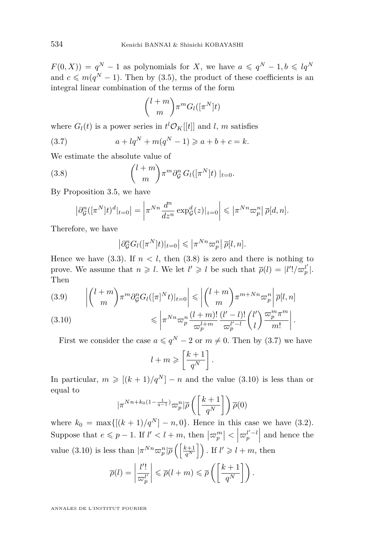$F(0, X) = q^N - 1$  as polynomials for *X*, we have  $a \leqslant q^N - 1, b \leqslant lq^N$ and  $c \leq m(q^N - 1)$ . Then by [\(3.5\)](#page-13-1), the product of these coefficients is an integral linear combination of the terms of the form

<span id="page-14-1"></span>
$$
\binom{l+m}{m} \pi^m G_l([\pi^N]t)
$$

where  $G_l(t)$  is a power series in  $t^l \mathcal{O}_K[[t]]$  and *l*, *m* satisfies

(3.7) 
$$
a + lq^N + m(q^N - 1) \geq a + b + c = k.
$$

We estimate the absolute value of

(3.8) 
$$
\binom{l+m}{m} \pi^m \partial_{\mathcal{G}}^n G_l([\pi^N]t) \mid_{t=0}.
$$

By Proposition [3.5,](#page-11-0) we have

<span id="page-14-0"></span>
$$
\left|\partial_{\mathcal{G}}^n([\pi^N]t)^d|_{t=0}\right| = \left|\pi^{Nn}\frac{d^n}{dz^n} \exp_{\mathcal{G}}^d(z)|_{z=0}\right| \leqslant \left|\pi^{Nn}\varpi_p^n\right| \overline{\rho}[d,n].
$$

Therefore, we have

$$
\left|\partial_{\mathcal{G}}^n G_l([\pi^N]t)|_{t=0}\right| \leqslant \left|\pi^{Nn}\varpi_p^n\right|\overline{\rho}[l,n].
$$

Hence we have  $(3.3)$ . If  $n < l$ , then  $(3.8)$  is zero and there is nothing to prove. We assume that  $n \geq l$ . We let  $l' \geq l$  be such that  $\overline{\rho}(l) = |l'| / \overline{\omega}_p^{l'}|.$ Then

<span id="page-14-3"></span>(3.9) 
$$
\left| {l+m \choose m} \pi^m \partial_{\mathcal{G}}^n G_l([\pi]^N t)|_{t=0} \right| \leq \left| {l+m \choose m} \pi^{m+Nn} \varpi_p^n \right| \overline{\rho}[l,n]
$$

<span id="page-14-2"></span>
$$
(3.10) \qquad \leqslant \left| \pi^{Nn} \varpi_p^n \frac{(l+m)!}{\varpi_p^{l+m}} \frac{(l'-l)!}{\varpi_p^{l'-l}} \binom{l'}{l} \frac{\varpi_p^m \pi^m}{m!} \right|.
$$

First we consider the case  $a \leqslant q^N - 2$  or  $m \neq 0$ . Then by [\(3.7\)](#page-14-1) we have

$$
l + m \geqslant \left[\frac{k+1}{q^N}\right].
$$

In particular,  $m \geq [(k+1)/q^N] - n$  and the value [\(3.10\)](#page-14-2) is less than or equal to

$$
|\pi^{Nn+k_0(1-\frac{1}{q-1})}\varpi_p^n|\overline{\rho}\left(\left[\frac{k+1}{q^N}\right]\right)\overline{\rho}(0)
$$

where  $k_0 = \max\{[(k+1)/q^N] - n, 0\}$ . Hence in this case we have [\(3.2\)](#page-13-3). Suppose that  $e \leq p-1$ . If  $l' < l+m$ , then  $|\varpi_p^m| < |\varpi_p^{l'-l}|$  and hence the value [\(3.10\)](#page-14-2) is less than  $|\pi^{Nn} \varpi_p^n| \overline{\rho}\left(\frac{k+1}{q^N}\right)$ . If  $l' \geqslant l + m$ , then

$$
\overline{\rho}(l) = \left| \frac{l'!}{\varpi_p^{l'}} \right| \leqslant \overline{\rho}(l+m) \leqslant \overline{\rho}\left(\left[\frac{k+1}{q^N}\right]\right).
$$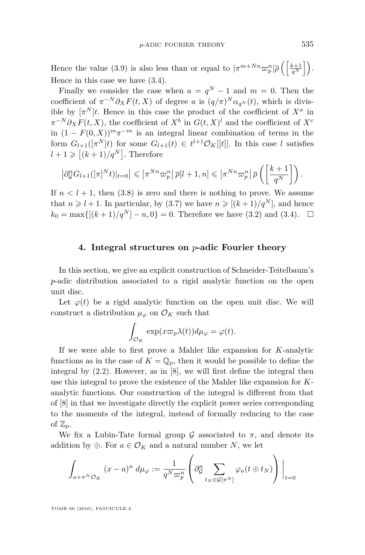Hence the value [\(3.9\)](#page-14-3) is also less than or equal to  $|\pi^{m+Nn}\varpi_p^n|\overline{\rho}\left(\frac{k+1}{q^N}\right)$ . Hence in this case we have [\(3.4\)](#page-13-4).

Finally we consider the case when  $a = q^N - 1$  and  $m = 0$ . Then the coefficient of  $\pi^{-N} \partial_X F(t, X)$  of degree *a* is  $(q/\pi)^N \alpha_{q^N}(t)$ , which is divisible by  $[\pi^N]t$ . Hence in this case the product of the coefficient of  $X^a$  in  $\pi^{-N} \partial_X F(t, X)$ , the coefficient of  $X^b$  in  $G(t, X)^l$  and the coefficient of  $X^c$ in  $(1 - F(0, X))^{m} \pi^{-m}$  is an integral linear combination of terms in the form  $G_{l+1}([\pi^N]t)$  for some  $G_{l+1}(t) \in t^{l+1}\mathcal{O}_K[[t]]$ . In this case *l* satisfies  $l + 1 \geqslant [(k + 1)/q^N]$ . Therefore

$$
\left|\partial_{\mathcal{G}}^n G_{l+1}([\pi]^N t)|_{t=0}\right| \leqslant \left|\pi^{Nn}\varpi_p^n\right| \overline{\rho}[l+1,n] \leqslant \left|\pi^{Nn}\varpi_p^n\right| \overline{\rho}\left(\left[\frac{k+1}{q^N}\right]\right).
$$

If  $n < l + 1$ , then  $(3.8)$  is zero and there is nothing to prove. We assume that  $n \geq l+1$ . In particular, by [\(3.7\)](#page-14-1) we have  $n \geq (k+1)/q^N$ , and hence  $k_0 = \max\{[(k+1)/q^N]-n,0\} = 0.$  Therefore we have [\(3.2\)](#page-13-3) and [\(3.4\)](#page-13-4).  $\square$ 

#### **4. Integral structures on** *p***-adic Fourier theory**

In this section, we give an explicit construction of Schneider-Teitelbaum's *p*-adic distribution associated to a rigid analytic function on the open unit disc.

Let  $\varphi(t)$  be a rigid analytic function on the open unit disc. We will construct a distribution  $\mu_{\varphi}$  on  $\mathcal{O}_K$  such that

$$
\int_{\mathcal{O}_K} \exp(x\varpi_p \lambda(t)) d\mu_\varphi = \varphi(t).
$$

If we were able to first prove a Mahler like expansion for *K*-analytic functions as in the case of  $K = \mathbb{Q}_p$ , then it would be possible to define the integral by [\(2.2\)](#page-6-1). However, as in [\[8\]](#page-29-1), we will first define the integral then use this integral to prove the existence of the Mahler like expansion for *K*analytic functions. Our construction of the integral is different from that of [\[8\]](#page-29-1) in that we investigate directly the explicit power series corresponding to the moments of the integral, instead of formally reducing to the case of  $\mathbb{Z}_p$ .

We fix a Lubin-Tate formal group  $\mathcal G$  associated to  $\pi$ , and denote its addition by  $\oplus$ . For  $a \in \mathcal{O}_K$  and a natural number *N*, we let

$$
\int_{a+\pi^N\mathcal{O}_K} (x-a)^n \ d\mu_{\varphi} := \frac{1}{q^N \varpi_p^n} \left( \partial_{\mathcal{G}}^n \sum_{t_N \in \mathcal{G}[\pi^N]} \varphi_a(t \oplus t_N) \right) \Big|_{t=0}
$$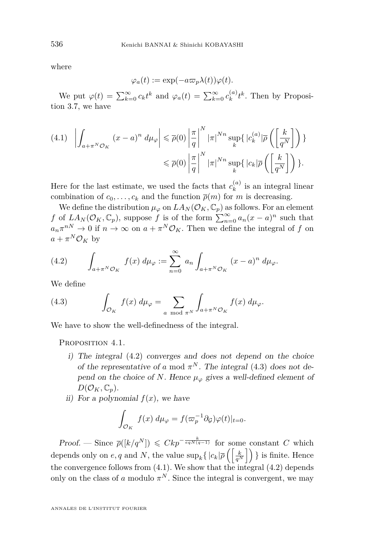where

$$
\varphi_a(t) := \exp(-a\varpi_p \lambda(t))\varphi(t).
$$

We put  $\varphi(t) = \sum_{k=0}^{\infty} c_k t^k$  and  $\varphi_a(t) = \sum_{k=0}^{\infty} c_k^{(a)}$  $k^{(a)}_k t^k$ . Then by Proposition [3.7,](#page-13-5) we have

<span id="page-16-2"></span>
$$
(4.1) \quad \left| \int_{a+\pi^N \mathcal{O}_K} (x-a)^n \, d\mu_{\varphi} \right| \leq \overline{\rho}(0) \left| \frac{\pi}{q} \right|^N |\pi|^{Nn} \sup_k \left\{ |c_k^{(a)}| \overline{\rho} \left( \left[ \frac{k}{q^N} \right] \right) \right\} \right|
$$

$$
\leq \overline{\rho}(0) \left| \frac{\pi}{q} \right|^N |\pi|^{Nn} \sup_k \left\{ |c_k| \overline{\rho} \left( \left[ \frac{k}{q^N} \right] \right) \right\}.
$$

Here for the last estimate, we used the facts that  $c_k^{(a)}$  $\binom{n}{k}$  is an integral linear combination of  $c_0, \ldots, c_k$  and the function  $\overline{\rho}(m)$  for *m* is decreasing.

We define the distribution  $\mu_{\varphi}$  on  $LA_N(\mathcal{O}_K, \mathbb{C}_p)$  as follows. For an element *f* of  $LA_N(\mathcal{O}_K, \mathbb{C}_p)$ , suppose *f* is of the form  $\sum_{n=0}^{\infty} a_n(x-a)^n$  such that  $a_n \pi^{n} \to 0$  if  $n \to \infty$  on  $a + \pi^N \mathcal{O}_K$ . Then we define the integral of *f* on  $a + \pi^N \mathcal{O}_K$  by

<span id="page-16-0"></span>(4.2) 
$$
\int_{a+\pi^N\mathcal{O}_K} f(x) d\mu_{\varphi} := \sum_{n=0}^{\infty} a_n \int_{a+\pi^N\mathcal{O}_K} (x-a)^n d\mu_{\varphi}.
$$

We define

<span id="page-16-1"></span>(4.3) 
$$
\int_{\mathcal{O}_K} f(x) d\mu_{\varphi} = \sum_{a \mod \pi^N} \int_{a+\pi^N \mathcal{O}_K} f(x) d\mu_{\varphi}.
$$

We have to show the well-definedness of the integral.

<span id="page-16-3"></span>PROPOSITION 4.1.

- i) The integral [\(4.2\)](#page-16-0) converges and does not depend on the choice of the representative of *a* mod  $\pi^N$ . The integral [\(4.3\)](#page-16-1) does not depend on the choice of *N*. Hence  $\mu_{\varphi}$  gives a well-defined element of  $D(\mathcal{O}_K, \mathbb{C}_p).$
- ii) For a polynomial  $f(x)$ , we have

$$
\int_{\mathcal{O}_K} f(x) \, d\mu_{\varphi} = f(\varpi_p^{-1} \partial_{\mathcal{G}}) \varphi(t)|_{t=0}.
$$

 $Proof.$  — Since  $\overline{\rho}([k/q^N]) \leq Ckp^{-\frac{k}{eqN(q-1)}}$  for some constant *C* which depends only on  $e, q$  and  $N$ , the value  $\sup_k \{ |c_k| \overline{\rho} \left( \left[ \frac{k}{q^N} \right] \right) \}$  is finite. Hence the convergence follows from  $(4.1)$ . We show that the integral  $(4.2)$  depends only on the class of *a* modulo  $\pi^N$ . Since the integral is convergent, we may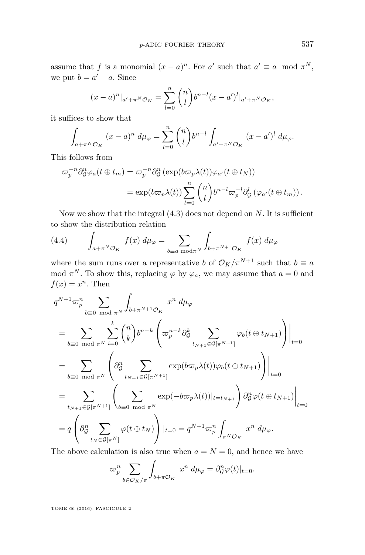assume that *f* is a monomial  $(x - a)^n$ . For *a'* such that  $a' \equiv a \mod \pi^N$ , we put  $b = a' - a$ . Since

$$
(x-a)^n|_{a'+\pi^N\mathcal{O}_K} = \sum_{l=0}^n \binom{n}{l} b^{n-l} (x-a')^l|_{a'+\pi^N\mathcal{O}_K},
$$

it suffices to show that

$$
\int_{a+\pi^N\mathcal{O}_K} (x-a)^n \ d\mu_{\varphi} = \sum_{l=0}^n \binom{n}{l} b^{n-l} \int_{a'+\pi^N\mathcal{O}_K} (x-a')^l \ d\mu_{\varphi}.
$$

This follows from

$$
\varpi_p^{-n} \partial_{\mathcal{G}}^n \varphi_a(t \oplus t_m) = \varpi_p^{-n} \partial_{\mathcal{G}}^n (\exp(b\varpi_p \lambda(t))\varphi_{a'}(t \oplus t_N))
$$
  

$$
= \exp(b\varpi_p \lambda(t)) \sum_{l=0}^n {n \choose l} b^{n-l} \varpi_p^{-l} \partial_{\mathcal{G}}^l (\varphi_{a'}(t \oplus t_m)).
$$

Now we show that the integral [\(4.3\)](#page-16-1) does not depend on *N*. It is sufficient to show the distribution relation

(4.4) 
$$
\int_{a+\pi^N\mathcal{O}_K} f(x) d\mu_{\varphi} = \sum_{b\equiv a \bmod \pi^N} \int_{b+\pi^{N+1}\mathcal{O}_K} f(x) d\mu_{\varphi}
$$

where the sum runs over a representative *b* of  $\mathcal{O}_K/\pi^{N+1}$  such that  $b \equiv a$ mod  $\pi^N$ . To show this, replacing  $\varphi$  by  $\varphi_a$ , we may assume that  $a = 0$  and  $f(x) = x^n$ . Then

$$
q^{N+1}\varpi_{p}^{n} \sum_{b\equiv 0 \mod \pi^{N}} \int_{b+\pi^{N+1}\mathcal{O}_{K}} x^{n} d\mu_{\varphi}
$$
  
\n
$$
= \sum_{b\equiv 0 \mod \pi^{N}} \sum_{i=0}^{k} {n \choose k} b^{n-k} \left( \varpi_{p}^{n-k} \partial_{\mathcal{G}}^{k} \sum_{t_{N+1} \in \mathcal{G}[\pi^{N+1}]} \varphi_{b}(t \oplus t_{N+1}) \right) \Big|_{t=0}
$$
  
\n
$$
= \sum_{b\equiv 0 \mod \pi^{N}} \left( \partial_{\mathcal{G}}^{n} \sum_{t_{N+1} \in \mathcal{G}[\pi^{N+1}]} \exp(b\varpi_{p}\lambda(t))\varphi_{b}(t \oplus t_{N+1}) \right) \Big|_{t=0}
$$
  
\n
$$
= \sum_{t_{N+1} \in \mathcal{G}[\pi^{N+1}]} \left( \sum_{b\equiv 0 \mod \pi^{N}} \exp(-b\varpi_{p}\lambda(t)) \Big|_{t=t_{N+1}} \right) \partial_{\mathcal{G}}^{n} \varphi(t \oplus t_{N+1}) \Big|_{t=0}
$$
  
\n
$$
= q \left( \partial_{\mathcal{G}}^{n} \sum_{t_{N} \in \mathcal{G}[\pi^{N}]} \varphi(t \oplus t_{N}) \right) \Big|_{t=0} = q^{N+1} \varpi_{p}^{n} \int_{\pi^{N} \mathcal{O}_{K}} x^{n} d\mu_{\varphi}.
$$

The above calculation is also true when  $a = N = 0$ , and hence we have

$$
\varpi_p^n \sum_{b \in \mathcal{O}_K/\pi} \int_{b+\pi \mathcal{O}_K} x^n \, d\mu_\varphi = \partial_{\mathcal{G}}^n \varphi(t)|_{t=0}.
$$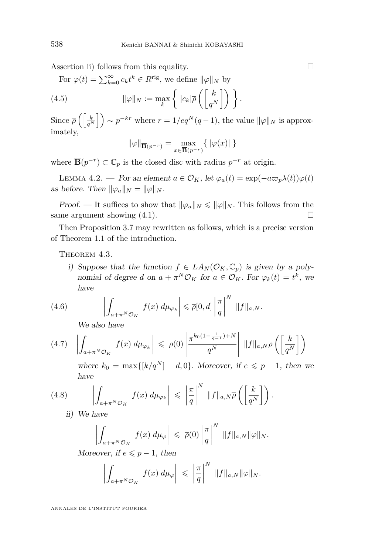Assertion ii) follows from this equality.  $\Box$ 

For  $\varphi(t) = \sum_{k=0}^{\infty} c_k t^k \in R^{\text{rig}},$  we define  $\|\varphi\|_N$  by

(4.5) 
$$
\|\varphi\|_{N} := \max_{k} \left\{ |c_{k}|\overline{\rho} \left( \left[ \frac{k}{q^{N}} \right] \right) \right\}.
$$

 $\text{Since } \overline{\rho} \left( \left[ \frac{k}{q^N} \right] \right) \sim p^{-kr} \text{ where } r = 1/eq^N(q-1), \text{ the value } ||\varphi||_N \text{ is approx$ imately,

$$
\|\varphi\|_{\overline{\mathbf{B}}(p^{-r})} = \max_{x \in \overline{\mathbf{B}}(p^{-r})} \{ \|\varphi(x)\| \}
$$

where  $\overline{\mathbf{B}}(p^{-r}) \subset \mathbb{C}_p$  is the closed disc with radius  $p^{-r}$  at origin.

LEMMA 4.2. — For an element  $a \in \mathcal{O}_K$ , let  $\varphi_a(t) = \exp(-a\varpi_p\lambda(t))\varphi(t)$ as before. Then  $\|\varphi_a\|_N = \|\varphi\|_N$ .

*Proof.* — It suffices to show that  $\|\varphi_a\|_N \le \|\varphi\|_N$ . This follows from the same argument showing  $(4.1)$ .

Then Proposition [3.7](#page-13-5) may rewritten as follows, which is a precise version of Theorem [1.1](#page-3-0) of the introduction.

<span id="page-18-0"></span>THEOREM 4.3.

i) Suppose that the function  $f \in LA_N(\mathcal{O}_K, \mathbb{C}_p)$  is given by a polynomial of degree *d* on  $a + \pi^N \mathcal{O}_K$  for  $a \in \mathcal{O}_K$ . For  $\varphi_k(t) = t^k$ , we have

(4.6) 
$$
\left| \int_{a+\pi^N \mathcal{O}_K} f(x) d\mu_{\varphi_k} \right| \leq \overline{\rho}[0,d] \left| \frac{\pi}{q} \right|^N \, \|f\|_{a,N}.
$$

<span id="page-18-3"></span><span id="page-18-2"></span>We also have

$$
(4.7) \quad \left| \int_{a+\pi^N \mathcal{O}_K} f(x) \, d\mu_{\varphi_k} \right| \leqslant \overline{\rho}(0) \left| \frac{\pi^{k_0(1-\frac{1}{q-1})+N}}{q^N} \right| \, \|f\|_{a,N} \overline{\rho} \left( \left[ \frac{k}{q^N} \right] \right)
$$

<span id="page-18-1"></span>where  $k_0 = \max\{[k/q^N] - d, 0\}$ . Moreover, if  $e \leq p-1$ , then we have

(4.8) 
$$
\left| \int_{a+\pi^N \mathcal{O}_K} f(x) d\mu_{\varphi_k} \right| \leq \left| \frac{\pi}{q} \right|^N \|f\|_{a,N} \overline{\rho} \left( \left[ \frac{k}{q^N} \right] \right).
$$

ii) We have

$$
\left| \int_{a+\pi^N \mathcal{O}_K} f(x) \, d\mu_{\varphi} \right| \, \leqslant \, \overline{\rho}(0) \left| \frac{\pi}{q} \right|^N \, \|f\|_{a,N} \|\varphi\|_N.
$$

Moreover, if  $e \leq p-1$ , then

$$
\left|\int_{a+\pi^N\mathcal{O}_K} f(x) d\mu_{\varphi}\right| \leqslant \left|\frac{\pi}{q}\right|^N \|f\|_{a,N} \|\varphi\|_N.
$$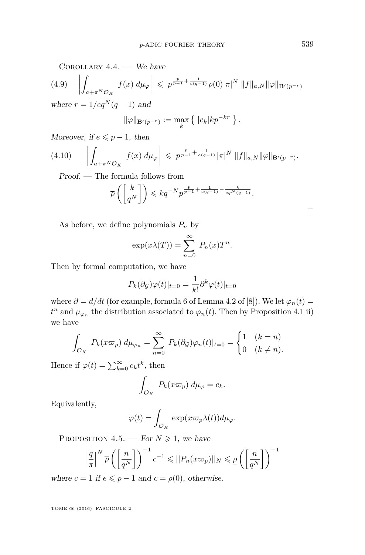COROLLARY  $4.4.$  — We have

(4.9) 
$$
\left| \int_{a+\pi^N \mathcal{O}_K} f(x) d\mu_{\varphi} \right| \leqslant p^{\frac{p}{p-1} + \frac{1}{e(q-1)}} \overline{\rho}(0) |\pi|^N ||f||_{a,N} ||\varphi||_{\mathbf{B}'(p^{-r})}
$$
  
where  $r = 1/eq^N(q-1)$  and

$$
\|\varphi\|_{\mathbf{B}'(p^{-r})} := \max_{k} \left\{ |c_k| k p^{-kr} \right\}.
$$

Moreover, if  $e \leq p-1$ , then

$$
(4.10) \qquad \left| \int_{a+\pi^N \mathcal{O}_K} f(x) \, d\mu_{\varphi} \right| \, \leqslant \, p^{\frac{p}{p-1}+\frac{1}{e(q-1)}} |\pi|^N \, \|f\|_{a,N} \|\varphi\|_{\mathbf{B}'(p^{-r})}.
$$

Proof. — The formula follows from

$$
\overline{\rho}\left(\left[\frac{k}{q^N}\right]\right) \leqslant kq^{-N}p^{\frac{p}{p-1}+\frac{1}{e(q-1)}-\frac{k}{eq^N(q-1)}}.
$$

As before, we define polynomials  $P_n$  by

$$
\exp(x\lambda(T)) = \sum_{n=0}^{\infty} P_n(x)T^n.
$$

Then by formal computation, we have

$$
P_k(\partial_{\mathcal{G}})\varphi(t)|_{t=0} = \frac{1}{k!}\partial^k \varphi(t)|_{t=0}
$$

where  $\partial = d/dt$  (for example, formula 6 of Lemma 4.2 of [\[8\]](#page-29-1)). We let  $\varphi_n(t) =$  $t^n$  and  $\mu_{\varphi_n}$  the distribution associated to  $\varphi_n(t)$ . Then by Proposition [4.1](#page-16-3) ii) we have

$$
\int_{\mathcal{O}_K} P_k(x\varpi_p) d\mu_{\varphi_n} = \sum_{n=0}^{\infty} P_k(\partial_{\mathcal{G}})\varphi_n(t)|_{t=0} = \begin{cases} 1 & (k=n) \\ 0 & (k \neq n). \end{cases}
$$

Hence if  $\varphi(t) = \sum_{k=0}^{\infty} c_k t^k$ , then

$$
\int_{\mathcal{O}_K} P_k(x\varpi_p) \, d\mu_\varphi = c_k.
$$

Equivalently,

$$
\varphi(t) = \int_{\mathcal{O}_K} \exp(x\varpi_p \lambda(t)) d\mu_\varphi.
$$

<span id="page-19-0"></span>PROPOSITION 4.5. — For  $N \geq 1$ , we have

$$
\left|\frac{q}{\pi}\right|^N \overline{\rho}\left(\left[\frac{n}{q^N}\right]\right)^{-1} c^{-1} \leqslant ||P_n(x\varpi_p)||_N \leqslant \underline{\rho}\left(\left[\frac{n}{q^N}\right]\right)^{-1}
$$

where  $c = 1$  if  $e \leq p - 1$  and  $c = \overline{\rho}(0)$ , otherwise.

TOME 66 (2016), FASCICULE 2

 $\Box$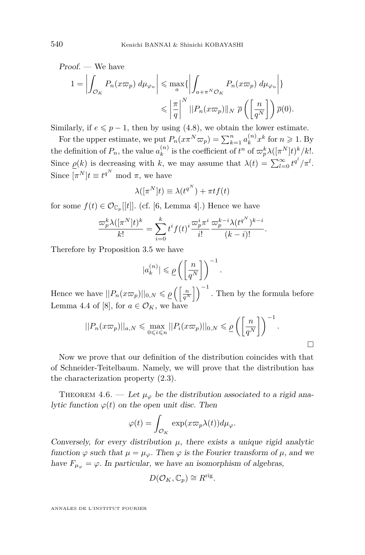Proof. We have  
\n
$$
1 = \left| \int_{\mathcal{O}_K} P_n(x \varpi_p) d\mu_{\varphi_n} \right| \le \max_a \{ \left| \int_{a + \pi^N \mathcal{O}_K} P_n(x \varpi_p) d\mu_{\varphi_n} \right| \}
$$
\n
$$
\le \left| \frac{\pi}{q} \right|^N ||P_n(x \varpi_p)||_N \ \overline{\rho} \left( \left[ \frac{n}{q^N} \right] \right) \overline{\rho}(0).
$$

Similarly, if  $e \leq p-1$ , then by using [\(4.8\)](#page-18-1), we obtain the lower estimate.

For the upper estimate, we put  $P_n(x \pi^N \varpi_p) = \sum_{k=1}^n a_k^{(n)}$  $\binom{n}{k} x^k$  for  $n \geqslant 1$ . By the definition of  $P_n$ , the value  $a_k^{(n)}$  $\int_{k}^{(n)}$  is the coefficient of  $t^n$  of  $\varpi_p^k \lambda([\pi^N]t)^k/k!$ . Since  $\underline{\rho}(k)$  is decreasing with *k*, we may assume that  $\lambda(t) = \sum_{l=0}^{\infty} t^{q^l}/\pi^l$ . Since  $[\pi^N]t \equiv t^{q^N} \mod \pi$ , we have

$$
\lambda([\pi^N]t) \equiv \lambda(t^{q^N}) + \pi t f(t)
$$

for some  $f(t) \in \mathcal{O}_{\mathbb{C}_p}[[t]]$ . (cf. [\[6,](#page-29-9) Lemma 4].) Hence we have

$$
\frac{\varpi_p^k \lambda([\pi^N]t)^k}{k!} = \sum_{i=0}^k t^i f(t)^i \frac{\varpi_p^i \pi^i}{i!} \frac{\varpi_p^{k-i} \lambda(t^{q^N})^{k-i}}{(k-i)!}.
$$

Therefore by Proposition [3.5](#page-11-0) we have

$$
|a_k^{(n)}| \leqslant \underline{\rho} \left( \left[ \frac{n}{q^N} \right] \right)^{-1}.
$$

Hence we have  $||P_n(x\varpi_p)||_{0,N} \leqslant \underline{\rho}\left(\left[\frac{n}{q^N}\right]\right)^{-1}$ . Then by the formula before Lemma 4.4 of [\[8\]](#page-29-1), for  $a \in \mathcal{O}_K$ , we have

$$
||P_n(x\varpi_p)||_{a,N} \leq \max_{0 \leq i \leq n} ||P_i(x\varpi_p)||_{0,N} \leq \underline{\rho}\left(\left[\frac{n}{q^N}\right]\right)^{-1}.
$$

Now we prove that our definition of the distribution coincides with that of Schneider-Teitelbaum. Namely, we will prove that the distribution has the characterization property [\(2.3\)](#page-7-0).

THEOREM 4.6. — Let  $\mu_{\varphi}$  be the distribution associated to a rigid analytic function  $\varphi(t)$  on the open unit disc. Then

$$
\varphi(t) = \int_{\mathcal{O}_K} \exp(x\varpi_p \lambda(t)) d\mu_\varphi.
$$

Conversely, for every distribution  $\mu$ , there exists a unique rigid analytic function  $\varphi$  such that  $\mu = \mu_{\varphi}$ . Then  $\varphi$  is the Fourier transform of  $\mu$ , and we have  $F_{\mu_{\varphi}} = \varphi$ . In particular, we have an isomorphism of algebras,

$$
D(\mathcal{O}_K,\mathbb{C}_p)\cong R^{\text{rig}}.
$$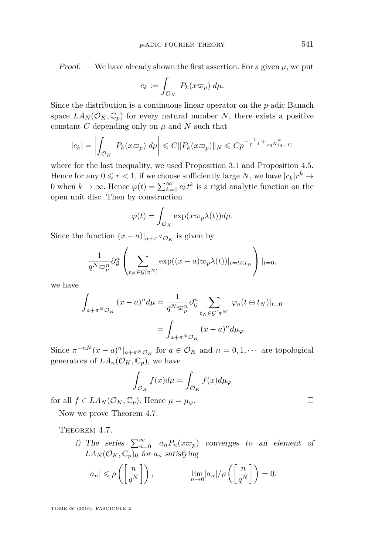Proof. — We have already shown the first assertion. For a given  $\mu$ , we put

$$
c_k := \int_{\mathcal{O}_K} P_k(x\varpi_p) \, d\mu.
$$

Since the distribution is a continuous linear operator on the *p*-adic Banach space  $LA_N(\mathcal{O}_K, \mathbb{C}_p)$  for every natural number *N*, there exists a positive constant *C* depending only on  $\mu$  and *N* such that

$$
|c_k| = \left| \int_{\mathcal{O}_K} P_k(x\varpi_p) \, d\mu \right| \leqslant C \|P_k(x\varpi_p)\|_N \leqslant C p^{-\frac{1}{p-1} + \frac{k}{eq^N(q-1)}}
$$

where for the last inequality, we used Proposition [3.1](#page-8-0) and Proposition [4.5.](#page-19-0) Hence for any  $0 \le r < 1$ , if we choose sufficiently large *N*, we have  $|c_k|r^k \to$ 0 when  $k \to \infty$ . Hence  $\varphi(t) = \sum_{k=0}^{\infty} c_k t^k$  is a rigid analytic function on the open unit disc. Then by construction

$$
\varphi(t) = \int_{\mathcal{O}_K} \exp(x \varpi_p \lambda(t)) d\mu.
$$

Since the function  $(x - a)|_{a + \pi^N \mathcal{O}_K}$  is given by

$$
\frac{1}{q^N \varpi_p^n} \partial_{\mathcal{G}}^n \left( \sum_{t_N \in \mathcal{G}[\pi^N]} \exp((x-a)\varpi_p \lambda(t))|_{t=t \oplus t_N} \right) |_{t=0},
$$

we have

$$
\int_{a+\pi^N \mathcal{O}_K} (x-a)^n d\mu = \frac{1}{q^N \varpi_p^n} \partial_{\mathcal{G}}^n \sum_{t_N \in \mathcal{G}[\pi^N]} \varphi_a(t \oplus t_N)|_{t=0}
$$

$$
= \int_{a+\pi^N \mathcal{O}_K} (x-a)^n d\mu_{\varphi}.
$$

Since  $\pi^{-n} (x - a)^n |_{a + \pi^N \mathcal{O}_K}$  for  $a \in \mathcal{O}_K$  and  $n = 0, 1, \cdots$  are topological generators of  $LA_n(\mathcal{O}_K, \mathbb{C}_p)$ , we have

$$
\int_{\mathcal{O}_K} f(x) d\mu = \int_{\mathcal{O}_K} f(x) d\mu_{\varphi}
$$

for all  $f \in LA_N(\mathcal{O}_K, \mathbb{C}_p)$ . Hence  $\mu = \mu_\varphi$ .

Now we prove Theorem [4.7.](#page-21-0)

<span id="page-21-0"></span>THEOREM 4.7.

*i*) The series  $\sum_{n=0}^{\infty} a_n P_n(x \varpi_p)$  converges to an element of  $LA_N(\mathcal{O}_K, \mathbb{C}_p)_0$  for  $a_n$  satisfying

$$
|a_n| \leq \underline{\rho}\left(\left[\frac{n}{q^N}\right]\right), \qquad \lim_{n\to 0} |a_n|/\underline{\rho}\left(\left[\frac{n}{q^N}\right]\right) = 0.
$$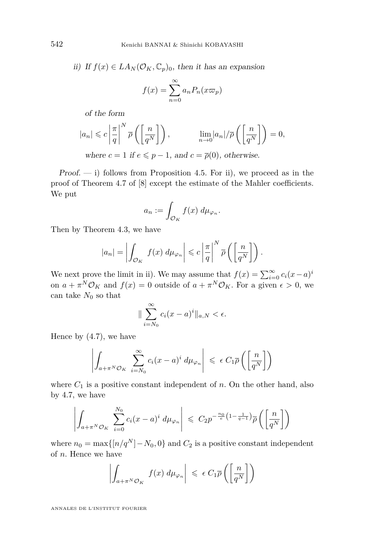ii) If  $f(x) \in LA_N(\mathcal{O}_K, \mathbb{C}_p)_0$ , then it has an expansion

$$
f(x) = \sum_{n=0}^{\infty} a_n P_n(x \varpi_p)
$$

of the form

$$
|a_n| \leqslant c \left| \frac{\pi}{q} \right|^N \overline{\rho} \left( \left[ \frac{n}{q^N} \right] \right), \qquad \lim_{n \to 0} |a_n| / \overline{\rho} \left( \left[ \frac{n}{q^N} \right] \right) = 0,
$$

where  $c = 1$  if  $e \leq p - 1$ , and  $c = \overline{\rho}(0)$ , otherwise.

Proof.  $-$  i) follows from Proposition [4.5.](#page-19-0) For ii), we proceed as in the proof of Theorem 4.7 of [\[8\]](#page-29-1) except the estimate of the Mahler coefficients. We put

$$
a_n := \int_{\mathcal{O}_K} f(x) \, d\mu_{\varphi_n}.
$$

Then by Theorem [4.3,](#page-18-0) we have

$$
|a_n| = \left| \int_{\mathcal{O}_K} f(x) \, d\mu_{\varphi_n} \right| \leqslant c \left| \frac{\pi}{q} \right|^N \overline{\rho} \left( \left[ \frac{n}{q^N} \right] \right).
$$

We next prove the limit in ii). We may assume that  $f(x) = \sum_{i=0}^{\infty} c_i(x-a)^i$ on  $a + \pi^N \mathcal{O}_K$  and  $f(x) = 0$  outside of  $a + \pi^N \mathcal{O}_K$ . For a given  $\epsilon > 0$ , we can take  $N_0$  so that

$$
\|\sum_{i=N_0}^{\infty} c_i(x-a)^i\|_{a,N} < \epsilon.
$$

Hence by [\(4.7\)](#page-18-2), we have

$$
\left| \int_{a+\pi^N \mathcal{O}_K} \sum_{i=N_0}^{\infty} c_i (x-a)^i \ d\mu_{\varphi_n} \right| \leqslant \epsilon C_1 \overline{\rho} \left( \left[ \frac{n}{q^N} \right] \right)
$$

where  $C_1$  is a positive constant independent of  $n$ . On the other hand, also by [4.7,](#page-18-2) we have

$$
\left| \int_{a+\pi^N \mathcal{O}_K} \sum_{i=0}^{N_0} c_i (x-a)^i \, d\mu_{\varphi_n} \right| \leqslant C_2 p^{-\frac{n_0}{e} \left(1 - \frac{1}{q-1}\right)} \overline{\rho} \left( \left[ \frac{n}{q^N} \right] \right)
$$

where  $n_0 = \max\{[n/q^N] - N_0, 0\}$  and  $C_2$  is a positive constant independent of *n*. Hence we have

$$
\left| \int_{a+\pi^N \mathcal{O}_K} f(x) \, d\mu_{\varphi_n} \right| \leq \epsilon \, C_1 \overline{\rho} \left( \left[ \frac{n}{q^N} \right] \right)
$$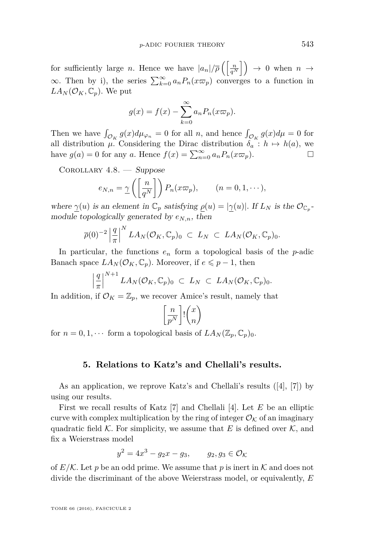for sufficiently large *n*. Hence we have  $|a_n|/\overline{\rho} \left( \frac{n}{q^N} \right) \rightarrow 0$  when  $n \rightarrow$  $\infty$ . Then by i), the series  $\sum_{k=0}^{\infty} a_n P_n(x \varpi_p)$  converges to a function in  $LA_N(\mathcal{O}_K, \mathbb{C}_p)$ . We put

$$
g(x) = f(x) - \sum_{k=0}^{\infty} a_n P_n(x \varpi_p).
$$

Then we have  $\int_{\mathcal{O}_K} g(x) d\mu_{\varphi_n} = 0$  for all *n*, and hence  $\int_{\mathcal{O}_K} g(x) d\mu = 0$  for all distribution  $\mu$ . Considering the Dirac distribution  $\delta_a : h \mapsto h(a)$ , we have  $g(a) = 0$  for any *a*. Hence  $f(x) = \sum_{n=0}^{\infty} a_n P_n(x \varpi_p)$ .

<span id="page-23-0"></span>COROLLARY  $4.8.$  - Suppose

$$
e_{N,n} = \underline{\gamma}\left(\left[\frac{n}{q^N}\right]\right) P_n(x\varpi_p), \qquad (n = 0, 1, \dots),
$$

where  $\gamma(u)$  is an element in  $\mathbb{C}_p$  satisfying  $\rho(u) = |\gamma(u)|$ . If  $L_N$  is the  $\mathcal{O}_{\mathbb{C}_p}$ module topologically generated by *eN,n*, then

$$
\overline{\rho}(0)^{-2}\left|\frac{q}{\pi}\right|^N LA_N(\mathcal{O}_K,\mathbb{C}_p)_0 \ \subset \ L_N \ \subset \ LA_N(\mathcal{O}_K,\mathbb{C}_p)_0.
$$

In particular, the functions  $e_n$  form a topological basis of the *p*-adic Banach space  $LA_N(\mathcal{O}_K, \mathbb{C}_p)$ . Moreover, if  $e \leq p-1$ , then

$$
\left|\frac{q}{\pi}\right|^{N+1}LA_N(\mathcal{O}_K,\mathbb{C}_p)_0 \ \subset \ L_N \ \subset \ LA_N(\mathcal{O}_K,\mathbb{C}_p)_0.
$$

In addition, if  $\mathcal{O}_K = \mathbb{Z}_p$ , we recover Amice's result, namely that

$$
\left[\frac{n}{p^N}\right]!\binom{x}{n}
$$

for  $n = 0, 1, \cdots$  form a topological basis of  $LA_N(\mathbb{Z}_p, \mathbb{C}_p)_0$ .

#### **5. Relations to Katz's and Chellali's results.**

As an application, we reprove Katz's and Chellali's results ([\[4\]](#page-29-3), [\[7\]](#page-29-2)) by using our results.

First we recall results of Katz [\[7\]](#page-29-2) and Chellali [\[4\]](#page-29-3). Let *E* be an elliptic curve with complex multiplication by the ring of integer  $\mathcal{O}_{\mathcal{K}}$  of an imaginary quadratic field  $K$ . For simplicity, we assume that E is defined over  $K$ , and fix a Weierstrass model

$$
y^2 = 4x^3 - g_2x - g_3, \qquad g_2, g_3 \in \mathcal{O}_{\mathcal{K}}
$$

of  $E/K$ . Let p be an odd prime. We assume that p is inert in K and does not divide the discriminant of the above Weierstrass model, or equivalently, *E*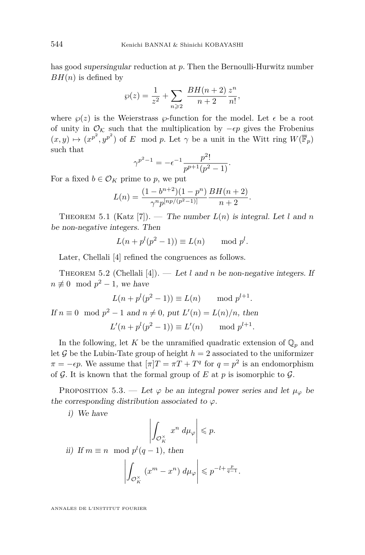has good supersingular reduction at *p*. Then the Bernoulli-Hurwitz number  $BH(n)$  is defined by

$$
\wp(z) = \frac{1}{z^2} + \sum_{n \geqslant 2} \frac{BH(n+2)}{n+2} \frac{z^n}{n!},
$$

where  $\wp(z)$  is the Weierstrass  $\wp$ -function for the model. Let  $\epsilon$  be a root of unity in  $\mathcal{O}_{\mathcal{K}}$  such that the multiplication by  $-\epsilon p$  gives the Frobenius  $(x, y) \mapsto (x^{p^2}, y^{p^2})$  of *E* mod *p*. Let  $\gamma$  be a unit in the Witt ring  $W(\overline{\mathbb{F}}_p)$ such that

$$
\gamma^{p^2-1} = -\epsilon^{-1} \frac{p^2!}{p^{p+1}(p^2-1)}.
$$

For a fixed  $b \in \mathcal{O}_K$  prime to p, we put

$$
L(n) = \frac{(1 - b^{n+2})(1 - p^n)}{\gamma^n p^{[np/(p^2 - 1)]}} \frac{BH(n+2)}{n+2}
$$

*.*

THEOREM 5.1 (Katz [\[7\]](#page-29-2)). — The number  $L(n)$  is integral. Let l and n be non-negative integers. Then

$$
L(n + pl(p2 - 1)) \equiv L(n) \mod pl.
$$

Later, Chellali [\[4\]](#page-29-3) refined the congruences as follows.

THEOREM 5.2 (Chellali [\[4\]](#page-29-3)). — Let *l* and *n* be non-negative integers. If  $n \not\equiv 0 \mod p^2 - 1$ , we have

$$
L(n + pl(p2 - 1)) \equiv L(n) \mod pl+1.
$$

If  $n \equiv 0 \mod p^2 - 1$  and  $n \neq 0$ , put  $L'(n) = L(n)/n$ , then  $L'(n+p^l(p^2-1)) \equiv L'(n) \quad \text{mod } p^{l+1}.$ 

In the following, let *K* be the unramified quadratic extension of  $\mathbb{Q}_p$  and let  $\mathcal G$  be the Lubin-Tate group of height  $h = 2$  associated to the uniformizer  $\pi = -\epsilon p$ . We assume that  $[\pi]T = \pi T + T^q$  for  $q = p^2$  is an endomorphism of  $G$ . It is known that the formal group of  $E$  at  $p$  is isomorphic to  $G$ .

<span id="page-24-0"></span>PROPOSITION 5.3. — Let  $\varphi$  be an integral power series and let  $\mu_{\varphi}$  be the corresponding distribution associated to  $\varphi$ .

i) We have

$$
\left| \int_{\mathcal{O}_K^\times} x^n \, d\mu_\varphi \right| \leqslant p.
$$

ii) If  $m \equiv n \mod p^l(q-1)$ , then

$$
\left| \int_{\mathcal{O}_K^\times} \left( x^m - x^n \right) \, d\mu_\varphi \right| \leqslant p^{-l + \frac{p}{q-1}}.
$$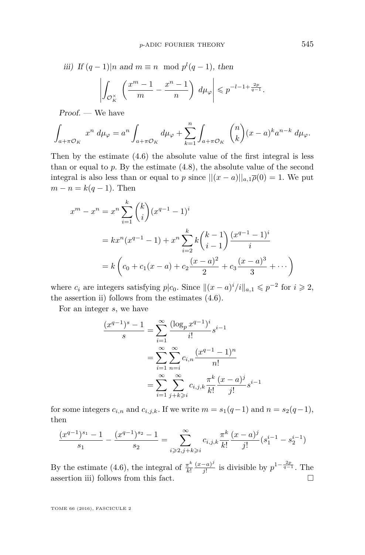iii) If 
$$
(q-1)|n
$$
 and  $m \equiv n \mod p^{l}(q-1)$ , then  

$$
\left| \int_{\mathcal{O}_K^{\times}} \left( \frac{x^m - 1}{m} - \frac{x^n - 1}{n} \right) d\mu_{\varphi} \right| \leqslant p^{-l-1 + \frac{2p}{q-1}}.
$$

Proof. — We have

$$
\int_{a+\pi\mathcal{O}_K} x^n \ d\mu_{\varphi} = a^n \int_{a+\pi\mathcal{O}_K} d\mu_{\varphi} + \sum_{k=1}^n \int_{a+\pi\mathcal{O}_K} {n \choose k} (x-a)^k a^{n-k} \ d\mu_{\varphi}.
$$

Then by the estimate [\(4.6\)](#page-18-3) the absolute value of the first integral is less than or equal to *p*. By the estimate [\(4.8\)](#page-18-1), the absolute value of the second integral is also less than or equal to *p* since  $||(x - a)||_{a,1}\bar{\rho}(0) = 1$ . We put  $m - n = k(q - 1)$ . Then

$$
x^{m} - x^{n} = x^{n} \sum_{i=1}^{k} {k \choose i} (x^{q-1} - 1)^{i}
$$
  
=  $kx^{n} (x^{q-1} - 1) + x^{n} \sum_{i=2}^{k} k {k-1 \choose i-1} \frac{(x^{q-1} - 1)^{i}}{i}$   
=  $k \left( c_{0} + c_{1} (x - a) + c_{2} \frac{(x - a)^{2}}{2} + c_{3} \frac{(x - a)^{3}}{3} + \cdots \right)$ 

where  $c_i$  are integers satisfying  $p|c_0$ . Since  $||(x-a)^i/i||_{a,1} \leqslant p^{-2}$  for  $i \geqslant 2$ , the assertion ii) follows from the estimates [\(4.6\)](#page-18-3).

For an integer *s*, we have

$$
\frac{(x^{q-1})^s - 1}{s} = \sum_{i=1}^{\infty} \frac{(\log_p x^{q-1})^i}{i!} s^{i-1}
$$

$$
= \sum_{i=1}^{\infty} \sum_{n=i}^{\infty} c_{i,n} \frac{(x^{q-1} - 1)^n}{n!}
$$

$$
= \sum_{i=1}^{\infty} \sum_{j+k \ge i}^{\infty} c_{i,j,k} \frac{\pi^k}{k!} \frac{(x-a)^j}{j!} s^{i-1}
$$

for some integers  $c_{i,n}$  and  $c_{i,j,k}$ . If we write  $m = s_1(q-1)$  and  $n = s_2(q-1)$ , then

$$
\frac{(x^{q-1})^{s_1}-1}{s_1}-\frac{(x^{q-1})^{s_2}-1}{s_2}=\sum_{i\geqslant 2,j+k\geqslant i}^\infty c_{i,j,k}\frac{\pi^k}{k!}\frac{(x-a)^j}{j!}(s_1^{i-1}-s_2^{i-1})
$$

By the estimate [\(4.6\)](#page-18-3), the integral of  $\frac{\pi^k}{k!}$ *k*! (*x*−*a*) *j*  $\frac{(-a)^j}{j!}$  is divisible by  $p^{1-\frac{2p}{q-1}}$ . The assertion iii) follows from this fact.  $\Box$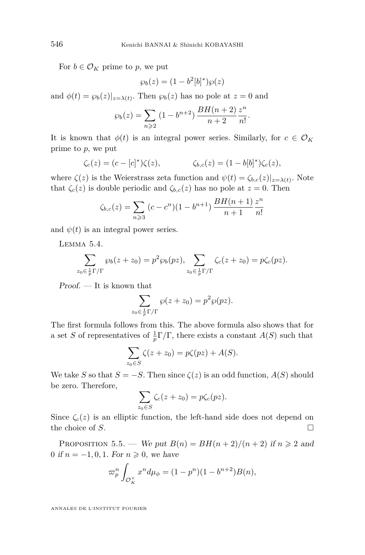For  $b \in \mathcal{O}_K$  prime to p, we put

$$
\wp_b(z) = (1 - b^2[b]^*)\wp(z)
$$

and  $\phi(t) = \wp_b(z)|_{z=\lambda(t)}$ . Then  $\wp_b(z)$  has no pole at  $z = 0$  and

$$
\wp_b(z) = \sum_{n \geqslant 2} (1 - b^{n+2}) \, \frac{BH(n+2)}{n+2} \frac{z^n}{n!}.
$$

It is known that  $\phi(t)$  is an integral power series. Similarly, for  $c \in \mathcal{O}_K$ prime to *p*, we put

$$
\zeta_c(z) = (c - [c]^*)\zeta(z), \qquad \zeta_{b,c}(z) = (1 - b[b]^*)\zeta_c(z),
$$

where  $\zeta(z)$  is the Weierstrass zeta function and  $\psi(t) = \zeta_{b,c}(z)|_{z=\lambda(t)}$ . Note that  $\zeta_c(z)$  is double periodic and  $\zeta_{b,c}(z)$  has no pole at  $z = 0$ . Then

$$
\zeta_{b,c}(z) = \sum_{n \geqslant 3} (c - c^n)(1 - b^{n+1}) \frac{BH(n+1)}{n+1} \frac{z^n}{n!}
$$

and  $\psi(t)$  is an integral power series.

Lemma 5.4.

$$
\sum_{z_0 \in \frac{1}{p} \Gamma/\Gamma} \wp_b(z+z_0) = p^2 \wp_b(pz), \sum_{z_0 \in \frac{1}{p} \Gamma/\Gamma} \zeta_c(z+z_0) = p \zeta_c(pz).
$$

Proof. — It is known that

$$
\sum_{z_0 \in \frac{1}{p} \Gamma/\Gamma} \wp(z + z_0) = p^2 \wp(pz).
$$

The first formula follows from this. The above formula also shows that for a set *S* of representatives of  $\frac{1}{p}\Gamma/\Gamma$ , there exists a constant *A*(*S*) such that

$$
\sum_{z_0 \in S} \zeta(z + z_0) = p\zeta(pz) + A(S).
$$

We take *S* so that  $S = -S$ . Then since  $\zeta(z)$  is an odd function,  $A(S)$  should be zero. Therefore,

$$
\sum_{z_0 \in S} \zeta_c(z+z_0) = p\zeta_c(pz).
$$

Since  $\zeta_c(z)$  is an elliptic function, the left-hand side does not depend on the choice of *S*.

PROPOSITION 5.5. — We put  $B(n) = BH(n+2)/(n+2)$  if  $n \ge 2$  and 0 if  $n = -1, 0, 1$ . For  $n \ge 0$ , we have

$$
\varpi_p^n \int_{\mathcal{O}_K^{\times}} x^n d\mu_{\phi} = (1 - p^n)(1 - b^{n+2})B(n),
$$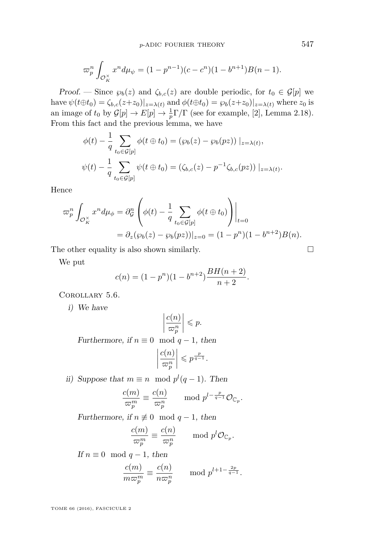$$
\varpi_p^n \int_{\mathcal{O}_K^{\times}} x^n d\mu_{\psi} = (1 - p^{n-1})(c - c^n)(1 - b^{n+1})B(n - 1).
$$

Proof. — Since  $\wp_b(z)$  and  $\zeta_{b,c}(z)$  are double periodic, for  $t_0 \in \mathcal{G}[p]$  we have  $\psi(t \oplus t_0) = \zeta_{b,c}(z+z_0)|_{z=\lambda(t)}$  and  $\phi(t \oplus t_0) = \zeta_b(z+z_0)|_{z=\lambda(t)}$  where  $z_0$  is an image of  $t_0$  by  $\mathcal{G}[p] \to E[p] \to \frac{1}{p} \Gamma/\Gamma$  (see for example, [\[2\]](#page-29-10), Lemma 2.18). From this fact and the previous lemma, we have

$$
\phi(t) - \frac{1}{q} \sum_{t_0 \in \mathcal{G}[p]} \phi(t \oplus t_0) = (\wp_b(z) - \wp_b(pz)) |_{z = \lambda(t)},
$$
  

$$
\psi(t) - \frac{1}{q} \sum_{t_0 \in \mathcal{G}[p]} \psi(t \oplus t_0) = (\zeta_{b,c}(z) - p^{-1} \zeta_{b,c}(pz)) |_{z = \lambda(t)}.
$$

Hence

$$
\varpi_p^n \int_{\mathcal{O}_K^\times} x^n d\mu_\phi = \partial_{\mathcal{G}}^n \left( \phi(t) - \frac{1}{q} \sum_{t_0 \in \mathcal{G}[p]} \phi(t \oplus t_0) \right) \Big|_{t=0}
$$
  
=  $\partial_z (\wp_b(z) - \wp_b(pz)) \Big|_{z=0} = (1 - p^n)(1 - b^{n+2})B(n).$ 

The other equality is also shown similarly.  $\Box$ 

We put

$$
c(n) = (1 - p^{n})(1 - b^{n+2})\frac{BH(n+2)}{n+2}.
$$

<span id="page-27-0"></span>Corollary 5.6.

i) We have

$$
\left|\frac{c(n)}{\varpi_p^n}\right| \leqslant p.
$$

Furthermore, if  $n \equiv 0 \mod q - 1$ , then

$$
\left|\frac{c(n)}{\varpi_p^n}\right| \leqslant p^{\frac{p}{q-1}}.
$$

ii) Suppose that  $m \equiv n \mod p^l(q-1)$ . Then

$$
\frac{c(m)}{\varpi_p^m} \equiv \frac{c(n)}{\varpi_p^n} \quad \mod p^{l-\frac{p}{q-1}} \mathcal{O}_{\mathbb{C}_p}.
$$

Furthermore, if  $n \not\equiv 0 \mod q-1$ , then

$$
\frac{c(m)}{\varpi_p^m} \equiv \frac{c(n)}{\varpi_p^n} \qquad \text{mod } p^l \mathcal{O}_{\mathbb{C}_p}
$$

*.*

If  $n \equiv 0 \mod q - 1$ , then

$$
\frac{c(m)}{m\varpi_p^m} \equiv \frac{c(n)}{n\varpi_p^n} \qquad \text{mod } p^{l+1-\frac{2p}{q-1}}.
$$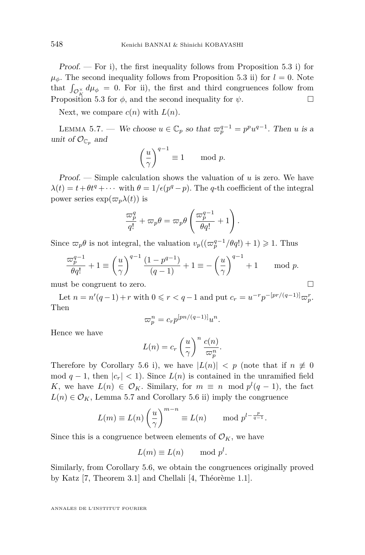Proof.  $-$  For i), the first inequality follows from Proposition [5.3](#page-24-0) i) for  $\mu_{\phi}$ . The second inequality follows from Proposition [5.3](#page-24-0) ii) for  $l = 0$ . Note that  $\int_{\mathcal{O}_K^{\times}} d\mu_{\phi} = 0$ . For ii), the first and third congruences follow from Proposition [5.3](#page-24-0) for  $\phi$ , and the second inequality for  $\psi$ .

Next, we compare  $c(n)$  with  $L(n)$ .

<span id="page-28-0"></span>LEMMA 5.7. — We choose  $u \in \mathbb{C}_p$  so that  $\varpi_p^{q-1} = p^p u^{q-1}$ . Then *u* is a unit of  $\mathcal{O}_{\mathbb{C}_p}$  and

$$
\left(\frac{u}{\gamma}\right)^{q-1} \equiv 1 \quad \mod{p}.
$$

Proof. — Simple calculation shows the valuation of *u* is zero. We have  $\lambda(t) = t + \theta t^q + \cdots$  with  $\theta = 1/\epsilon(p^q - p)$ . The *q*-th coefficient of the integral power series  $\exp(\varpi_p\lambda(t))$  is

$$
\frac{\varpi_p^q}{q!} + \varpi_p \theta = \varpi_p \theta \left( \frac{\varpi_p^{q-1}}{\theta q!} + 1 \right).
$$

Since  $\varpi_p \theta$  is not integral, the valuation  $v_p((\varpi_p^{q-1}/\theta q!) + 1) \geq 1$ . Thus

$$
\frac{\varpi_p^{q-1}}{\theta q!} + 1 \equiv \left(\frac{u}{\gamma}\right)^{q-1} \frac{\left(1 - p^{q-1}\right)}{\left(q - 1\right)} + 1 \equiv -\left(\frac{u}{\gamma}\right)^{q-1} + 1 \quad \mod p.
$$

must be congruent to zero.

Let  $n = n'(q-1) + r$  with  $0 \le r < q-1$  and put  $c_r = u^{-r}p^{-[pr/(q-1)]}\varpi_r^r$ . Then

$$
\varpi_p^n = c_r p^{[pn/(q-1)]} u^n.
$$

Hence we have

$$
L(n) = c_r \left(\frac{u}{\gamma}\right)^n \frac{c(n)}{\varpi_p^n}
$$

*.*

Therefore by Corollary [5.6](#page-27-0) i), we have  $|L(n)| < p$  (note that if  $n \neq 0$ mod  $q-1$ , then  $|c_r| < 1$ ). Since  $L(n)$  is contained in the unramified field *K*, we have  $L(n) \in \mathcal{O}_K$ . Similary, for  $m \equiv n \mod p^l(q-1)$ , the fact  $L(n) \in \mathcal{O}_K$ , Lemma [5.7](#page-28-0) and Corollary [5.6](#page-27-0) ii) imply the congruence

$$
L(m) \equiv L(n) \left(\frac{u}{\gamma}\right)^{m-n} \equiv L(n) \quad \text{mod } p^{l-\frac{p}{q-1}}.
$$

Since this is a congruence between elements of  $\mathcal{O}_K$ , we have

$$
L(m) \equiv L(n) \quad \text{mod } p^l.
$$

Similarly, from Corollary [5.6,](#page-27-0) we obtain the congruences originally proved by Katz [\[7,](#page-29-2) Theorem 3.1] and Chellali [\[4,](#page-29-3) Théorème 1.1].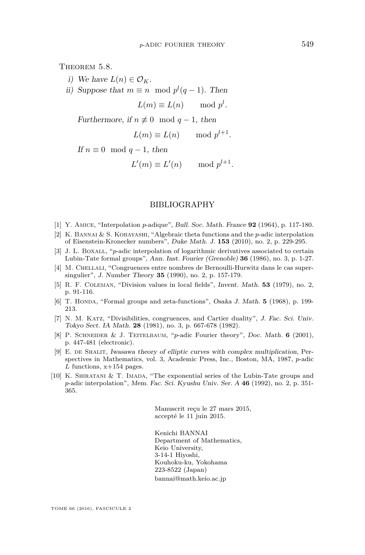<span id="page-29-4"></span>THEOREM 5.8.

- i) We have  $L(n) \in \mathcal{O}_K$ .
- ii) Suppose that  $m \equiv n \mod p^l(q-1)$ . Then

 $L(m) \equiv L(n) \quad \text{mod } p^l.$ 

Furthermore, if  $n \not\equiv 0 \mod q-1$ , then

$$
L(m) \equiv L(n) \quad \text{mod } p^{l+1}.
$$

If  $n \equiv 0 \mod q - 1$ , then

$$
L'(m) \equiv L'(n) \quad \text{mod } p^{l+1}.
$$

#### BIBLIOGRAPHY

- <span id="page-29-0"></span>[1] Y. Amice, "Interpolation *p*-adique", Bull. Soc. Math. France **92** (1964), p. 117-180.
- <span id="page-29-10"></span>[2] K. Bannai & S. Kobayashi, "Algebraic theta functions and the *p*-adic interpolation of Eisenstein-Kronecker numbers", Duke Math. J. **153** (2010), no. 2, p. 229-295.
- <span id="page-29-6"></span>[3] J. L. BOXALL, "*p*-adic interpolation of logarithmic derivatives associated to certain Lubin-Tate formal groups", Ann. Inst. Fourier (Grenoble) **36** (1986), no. 3, p. 1-27.
- <span id="page-29-3"></span>[4] M. CHELLALI, "Congruences entre nombres de Bernoulli-Hurwitz dans le cas supersingulier", J. Number Theory **35** (1990), no. 2, p. 157-179.
- <span id="page-29-8"></span>[5] R. F. Coleman, "Division values in local fields", Invent. Math. **53** (1979), no. 2, p. 91-116.
- <span id="page-29-9"></span>[6] T. HONDA, "Formal groups and zeta-functions", Osaka J. Math. **5** (1968), p. 199-213.
- <span id="page-29-2"></span>[7] N. M. Katz, "Divisibilities, congruences, and Cartier duality", J. Fac. Sci. Univ. Tokyo Sect. IA Math. **28** (1981), no. 3, p. 667-678 (1982).
- <span id="page-29-1"></span>[8] P. Schneider & J. Teitelbaum, "*p*-adic Fourier theory", Doc. Math. **6** (2001), p. 447-481 (electronic).
- <span id="page-29-5"></span>[9] E. de Shalit, Iwasawa theory of elliptic curves with complex multiplication, Perspectives in Mathematics, vol. 3, Academic Press, Inc., Boston, MA, 1987, *p*-adic *L* functions, x+154 pages.
- <span id="page-29-7"></span>[10] K. Shiratani & T. Imada, "The exponential series of the Lubin-Tate groups and *p*-adic interpolation", Mem. Fac. Sci. Kyushu Univ. Ser. A **46** (1992), no. 2, p. 351- 365.

Manuscrit reçu le 27 mars 2015, accepté le 11 juin 2015.

Kenichi BANNAI Department of Mathematics, Keio University, 3-14-1 Hiyoshi, Kouhoku-ku, Yokohama 223-8522 (Japan) [bannai@math.keio.ac.jp](mailto:bannai@math.keio.ac.jp)